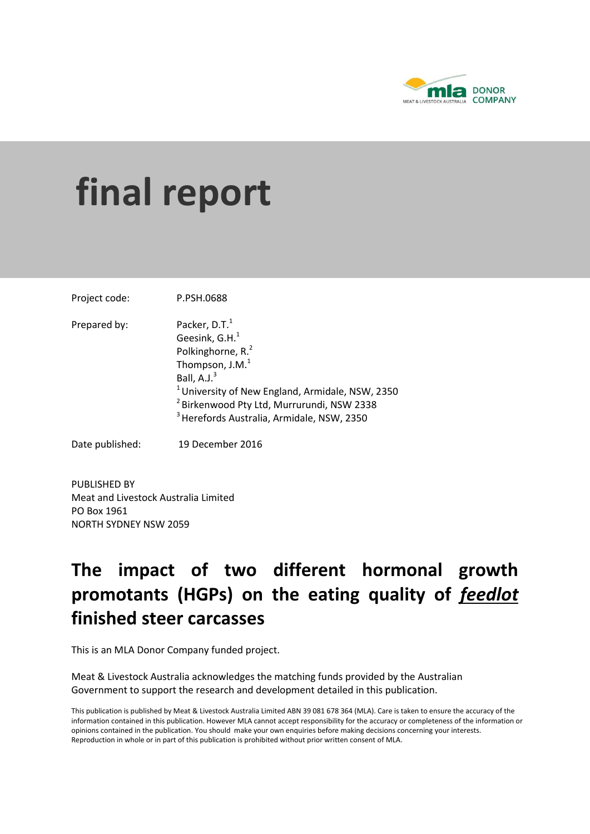

# **final report**

Project code: P.PSH.0688

Prepared by: Packer,  $D.T.^1$ Geesink,  $G.H.<sup>1</sup>$ Polkinghorne, R.<sup>2</sup> Thompson,  $J.M.<sup>1</sup>$ Ball,  $A.J.<sup>3</sup>$ <sup>1</sup> University of New England, Armidale, NSW, 2350 <sup>2</sup> Birkenwood Pty Ltd, Murrurundi, NSW 2338 <sup>3</sup> Herefords Australia, Armidale, NSW, 2350

Date published: 19 December 2016

PUBLISHED BY Meat and Livestock Australia Limited PO Box 1961 NORTH SYDNEY NSW 2059

## **The impact of two different hormonal growth promotants (HGPs) on the eating quality of** *feedlot* **finished steer carcasses**

This is an MLA Donor Company funded project.

Meat & Livestock Australia acknowledges the matching funds provided by the Australian Government to support the research and development detailed in this publication.

This publication is published by Meat & Livestock Australia Limited ABN 39 081 678 364 (MLA). Care is taken to ensure the accuracy of the information contained in this publication. However MLA cannot accept responsibility for the accuracy or completeness of the information or opinions contained in the publication. You should make your own enquiries before making decisions concerning your interests. Reproduction in whole or in part of this publication is prohibited without prior written consent of MLA.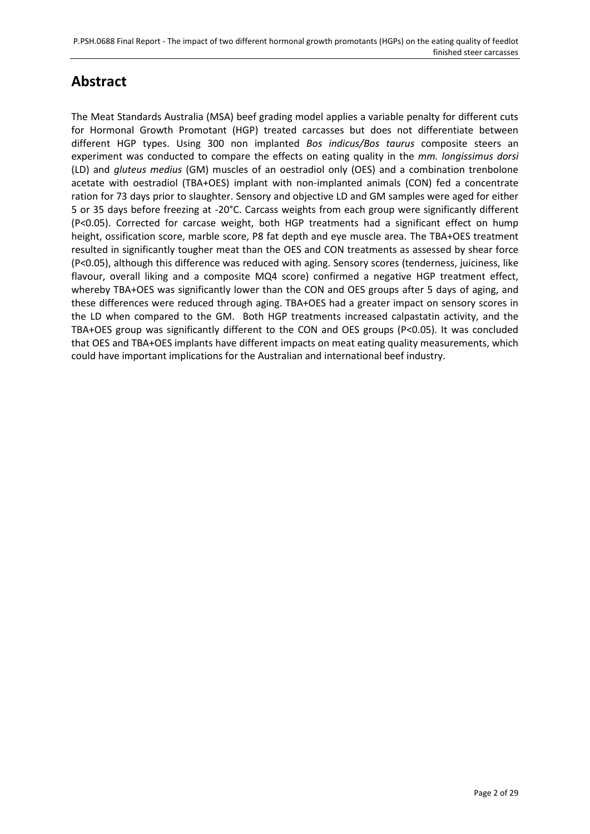## **Abstract**

The Meat Standards Australia (MSA) beef grading model applies a variable penalty for different cuts for Hormonal Growth Promotant (HGP) treated carcasses but does not differentiate between different HGP types. Using 300 non implanted *Bos indicus/Bos taurus* composite steers an experiment was conducted to compare the effects on eating quality in the *mm. longissimus dorsi* (LD) and *gluteus medius* (GM) muscles of an oestradiol only (OES) and a combination trenbolone acetate with oestradiol (TBA+OES) implant with non-implanted animals (CON) fed a concentrate ration for 73 days prior to slaughter. Sensory and objective LD and GM samples were aged for either 5 or 35 days before freezing at -20°C. Carcass weights from each group were significantly different (P<0.05). Corrected for carcase weight, both HGP treatments had a significant effect on hump height, ossification score, marble score, P8 fat depth and eye muscle area. The TBA+OES treatment resulted in significantly tougher meat than the OES and CON treatments as assessed by shear force (P<0.05), although this difference was reduced with aging. Sensory scores (tenderness, juiciness, like flavour, overall liking and a composite MQ4 score) confirmed a negative HGP treatment effect, whereby TBA+OES was significantly lower than the CON and OES groups after 5 days of aging, and these differences were reduced through aging. TBA+OES had a greater impact on sensory scores in the LD when compared to the GM. Both HGP treatments increased calpastatin activity, and the TBA+OES group was significantly different to the CON and OES groups (P<0.05). It was concluded that OES and TBA+OES implants have different impacts on meat eating quality measurements, which could have important implications for the Australian and international beef industry.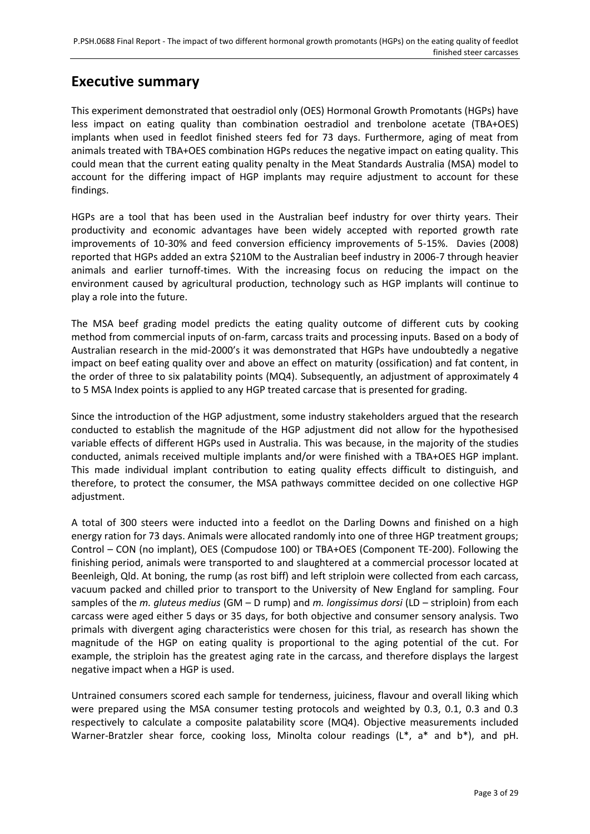## **Executive summary**

This experiment demonstrated that oestradiol only (OES) Hormonal Growth Promotants (HGPs) have less impact on eating quality than combination oestradiol and trenbolone acetate (TBA+OES) implants when used in feedlot finished steers fed for 73 days. Furthermore, aging of meat from animals treated with TBA+OES combination HGPs reduces the negative impact on eating quality. This could mean that the current eating quality penalty in the Meat Standards Australia (MSA) model to account for the differing impact of HGP implants may require adjustment to account for these findings.

HGPs are a tool that has been used in the Australian beef industry for over thirty years. Their productivity and economic advantages have been widely accepted with reported growth rate improvements of 10-30% and feed conversion efficiency improvements of 5-15%. [Davies \(2008\)](#page-26-0) reported that HGPs added an extra \$210M to the Australian beef industry in 2006-7 through heavier animals and earlier turnoff-times. With the increasing focus on reducing the impact on the environment caused by agricultural production, technology such as HGP implants will continue to play a role into the future.

The MSA beef grading model predicts the eating quality outcome of different cuts by cooking method from commercial inputs of on-farm, carcass traits and processing inputs. Based on a body of Australian research in the mid-2000's it was demonstrated that HGPs have undoubtedly a negative impact on beef eating quality over and above an effect on maturity (ossification) and fat content, in the order of three to six palatability points (MQ4). Subsequently, an adjustment of approximately 4 to 5 MSA Index points is applied to any HGP treated carcase that is presented for grading.

Since the introduction of the HGP adjustment, some industry stakeholders argued that the research conducted to establish the magnitude of the HGP adjustment did not allow for the hypothesised variable effects of different HGPs used in Australia. This was because, in the majority of the studies conducted, animals received multiple implants and/or were finished with a TBA+OES HGP implant. This made individual implant contribution to eating quality effects difficult to distinguish, and therefore, to protect the consumer, the MSA pathways committee decided on one collective HGP adjustment.

A total of 300 steers were inducted into a feedlot on the Darling Downs and finished on a high energy ration for 73 days. Animals were allocated randomly into one of three HGP treatment groups; Control – CON (no implant), OES (Compudose 100) or TBA+OES (Component TE-200). Following the finishing period, animals were transported to and slaughtered at a commercial processor located at Beenleigh, Qld. At boning, the rump (as rost biff) and left striploin were collected from each carcass, vacuum packed and chilled prior to transport to the University of New England for sampling. Four samples of the *m. gluteus medius* (GM – D rump) and *m. longissimus dorsi* (LD – striploin) from each carcass were aged either 5 days or 35 days, for both objective and consumer sensory analysis. Two primals with divergent aging characteristics were chosen for this trial, as research has shown the magnitude of the HGP on eating quality is proportional to the aging potential of the cut. For example, the striploin has the greatest aging rate in the carcass, and therefore displays the largest negative impact when a HGP is used.

Untrained consumers scored each sample for tenderness, juiciness, flavour and overall liking which were prepared using the MSA consumer testing protocols and weighted by 0.3, 0.1, 0.3 and 0.3 respectively to calculate a composite palatability score (MQ4). Objective measurements included Warner-Bratzler shear force, cooking loss, Minolta colour readings (L\*, a\* and b\*), and pH.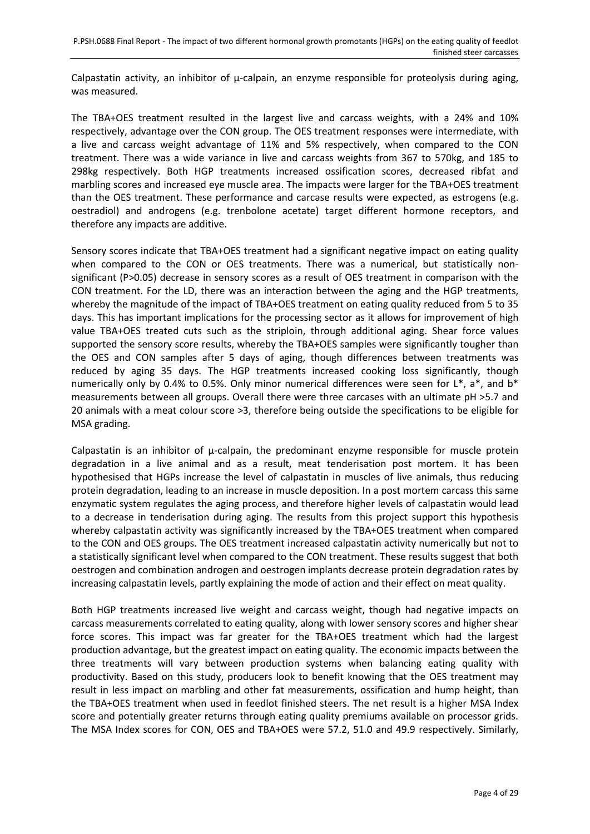Calpastatin activity, an inhibitor of  $\mu$ -calpain, an enzyme responsible for proteolysis during aging, was measured.

The TBA+OES treatment resulted in the largest live and carcass weights, with a 24% and 10% respectively, advantage over the CON group. The OES treatment responses were intermediate, with a live and carcass weight advantage of 11% and 5% respectively, when compared to the CON treatment. There was a wide variance in live and carcass weights from 367 to 570kg, and 185 to 298kg respectively. Both HGP treatments increased ossification scores, decreased ribfat and marbling scores and increased eye muscle area. The impacts were larger for the TBA+OES treatment than the OES treatment. These performance and carcase results were expected, as estrogens (e.g. oestradiol) and androgens (e.g. trenbolone acetate) target different hormone receptors, and therefore any impacts are additive.

Sensory scores indicate that TBA+OES treatment had a significant negative impact on eating quality when compared to the CON or OES treatments. There was a numerical, but statistically nonsignificant (P>0.05) decrease in sensory scores as a result of OES treatment in comparison with the CON treatment. For the LD, there was an interaction between the aging and the HGP treatments, whereby the magnitude of the impact of TBA+OES treatment on eating quality reduced from 5 to 35 days. This has important implications for the processing sector as it allows for improvement of high value TBA+OES treated cuts such as the striploin, through additional aging. Shear force values supported the sensory score results, whereby the TBA+OES samples were significantly tougher than the OES and CON samples after 5 days of aging, though differences between treatments was reduced by aging 35 days. The HGP treatments increased cooking loss significantly, though numerically only by 0.4% to 0.5%. Only minor numerical differences were seen for L\*, a\*, and b\* measurements between all groups. Overall there were three carcases with an ultimate pH >5.7 and 20 animals with a meat colour score >3, therefore being outside the specifications to be eligible for MSA grading.

Calpastatin is an inhibitor of  $\mu$ -calpain, the predominant enzyme responsible for muscle protein degradation in a live animal and as a result, meat tenderisation post mortem. It has been hypothesised that HGPs increase the level of calpastatin in muscles of live animals, thus reducing protein degradation, leading to an increase in muscle deposition. In a post mortem carcass this same enzymatic system regulates the aging process, and therefore higher levels of calpastatin would lead to a decrease in tenderisation during aging. The results from this project support this hypothesis whereby calpastatin activity was significantly increased by the TBA+OES treatment when compared to the CON and OES groups. The OES treatment increased calpastatin activity numerically but not to a statistically significant level when compared to the CON treatment. These results suggest that both oestrogen and combination androgen and oestrogen implants decrease protein degradation rates by increasing calpastatin levels, partly explaining the mode of action and their effect on meat quality.

Both HGP treatments increased live weight and carcass weight, though had negative impacts on carcass measurements correlated to eating quality, along with lower sensory scores and higher shear force scores. This impact was far greater for the TBA+OES treatment which had the largest production advantage, but the greatest impact on eating quality. The economic impacts between the three treatments will vary between production systems when balancing eating quality with productivity. Based on this study, producers look to benefit knowing that the OES treatment may result in less impact on marbling and other fat measurements, ossification and hump height, than the TBA+OES treatment when used in feedlot finished steers. The net result is a higher MSA Index score and potentially greater returns through eating quality premiums available on processor grids. The MSA Index scores for CON, OES and TBA+OES were 57.2, 51.0 and 49.9 respectively. Similarly,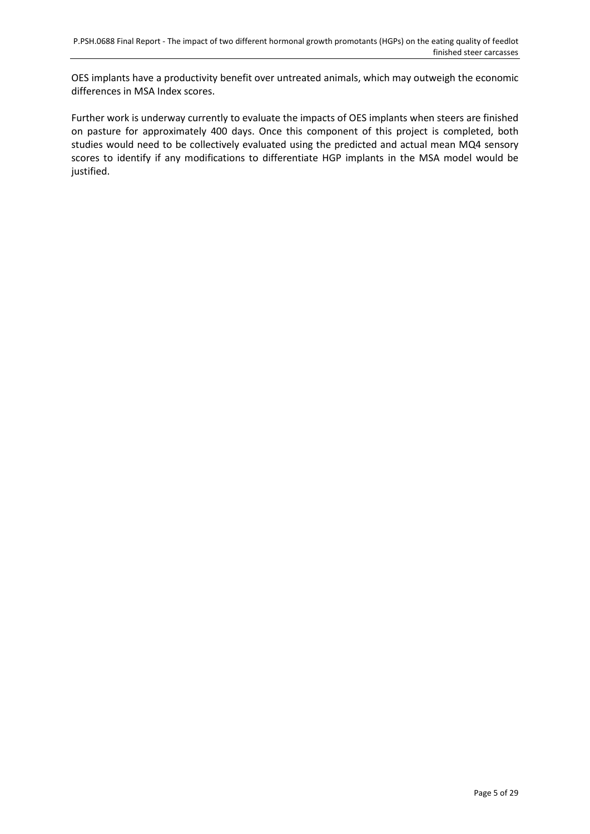OES implants have a productivity benefit over untreated animals, which may outweigh the economic differences in MSA Index scores.

Further work is underway currently to evaluate the impacts of OES implants when steers are finished on pasture for approximately 400 days. Once this component of this project is completed, both studies would need to be collectively evaluated using the predicted and actual mean MQ4 sensory scores to identify if any modifications to differentiate HGP implants in the MSA model would be justified.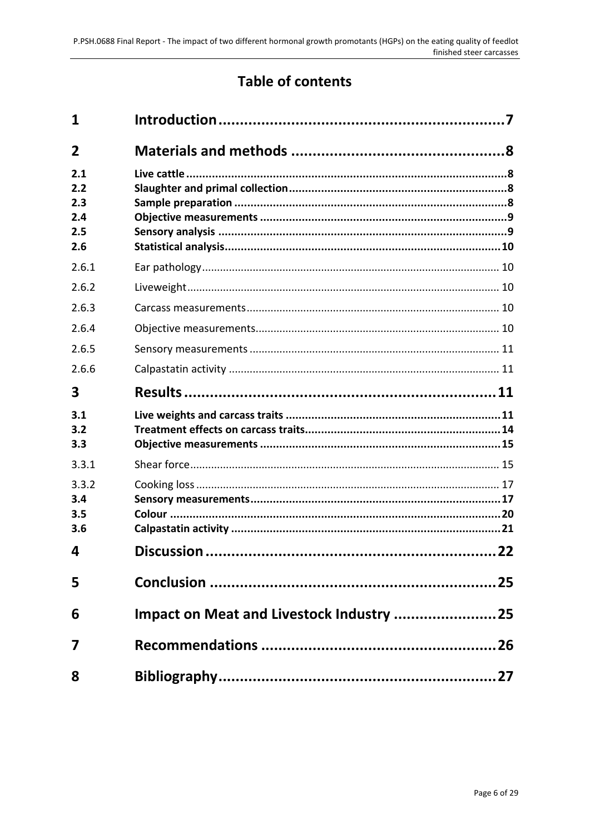## **Table of contents**

| 1                                      |    |
|----------------------------------------|----|
| $\overline{2}$                         |    |
| 2.1<br>2.2<br>2.3<br>2.4<br>2.5<br>2.6 |    |
| 2.6.1                                  |    |
| 2.6.2                                  |    |
| 2.6.3                                  |    |
| 2.6.4                                  |    |
| 2.6.5                                  |    |
| 2.6.6                                  |    |
| 3                                      |    |
| 3.1<br>3.2<br>3.3                      |    |
| 3.3.1                                  |    |
| 3.3.2<br>3.4<br>3.5<br>3.6             |    |
| 4                                      | 22 |
| 5                                      |    |
| 6                                      |    |
| 7                                      |    |
| 8                                      |    |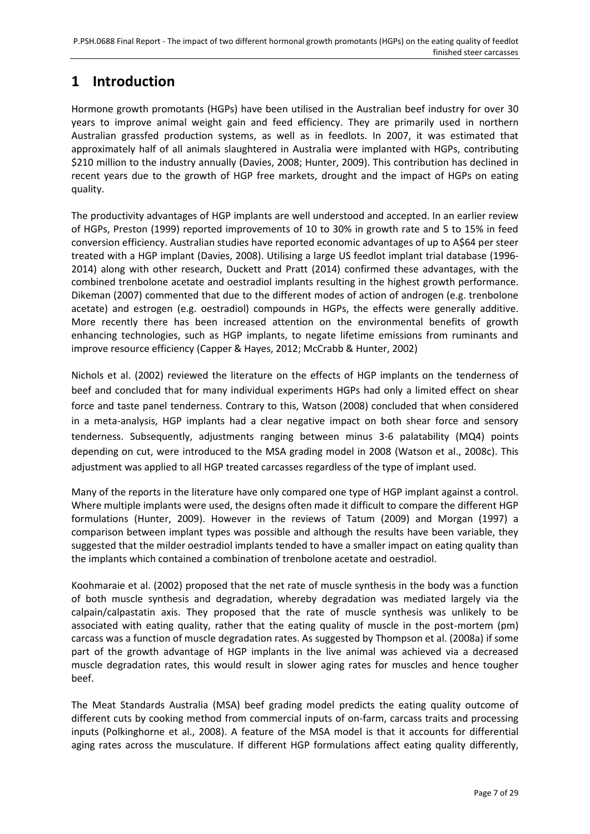## <span id="page-6-0"></span>**1 Introduction**

Hormone growth promotants (HGPs) have been utilised in the Australian beef industry for over 30 years to improve animal weight gain and feed efficiency. They are primarily used in northern Australian grassfed production systems, as well as in feedlots. In 2007, it was estimated that approximately half of all animals slaughtered in Australia were implanted with HGPs, contributing \$210 million to the industry annually [\(Davies, 2008;](#page-26-0) [Hunter, 2009\)](#page-26-2). This contribution has declined in recent years due to the growth of HGP free markets, drought and the impact of HGPs on eating quality.

The productivity advantages of HGP implants are well understood and accepted. In an earlier review of HGPs, [Preston \(1999\)](#page-27-0) reported improvements of 10 to 30% in growth rate and 5 to 15% in feed conversion efficiency. Australian studies have reported economic advantages of up to A\$64 per steer treated with a HGP implant [\(Davies, 2008\)](#page-26-0). Utilising a large US feedlot implant trial database (1996- 2014) along with other research, [Duckett and Pratt \(2014\)](#page-26-3) confirmed these advantages, with the combined trenbolone acetate and oestradiol implants resulting in the highest growth performance. [Dikeman \(2007\)](#page-26-4) commented that due to the different modes of action of androgen (e.g. trenbolone acetate) and estrogen (e.g. oestradiol) compounds in HGPs, the effects were generally additive. More recently there has been increased attention on the environmental benefits of growth enhancing technologies, such as HGP implants, to negate lifetime emissions from ruminants and improve resource efficiency [\(Capper & Hayes, 2012;](#page-26-5) [McCrabb & Hunter, 2002\)](#page-27-1)

[Nichols et al. \(2002\)](#page-27-2) reviewed the literature on the effects of HGP implants on the tenderness of beef and concluded that for many individual experiments HGPs had only a limited effect on shear force and taste panel tenderness. Contrary to this, [Watson \(2008\)](#page-28-0) concluded that when considered in a meta-analysis, HGP implants had a clear negative impact on both shear force and sensory tenderness. Subsequently, adjustments ranging between minus 3-6 palatability (MQ4) points depending on cut, were introduced to the MSA grading model in 2008 [\(Watson et al., 2008c\)](#page-28-1). This adjustment was applied to all HGP treated carcasses regardless of the type of implant used.

Many of the reports in the literature have only compared one type of HGP implant against a control. Where multiple implants were used, the designs often made it difficult to compare the different HGP formulations [\(Hunter, 2009\)](#page-26-2). However in the reviews of [Tatum \(2009\)](#page-27-3) and [Morgan \(1997\)](#page-27-4) a comparison between implant types was possible and although the results have been variable, they suggested that the milder oestradiol implants tended to have a smaller impact on eating quality than the implants which contained a combination of trenbolone acetate and oestradiol.

[Koohmaraie et al. \(2002\)](#page-27-5) proposed that the net rate of muscle synthesis in the body was a function of both muscle synthesis and degradation, whereby degradation was mediated largely via the calpain/calpastatin axis. They proposed that the rate of muscle synthesis was unlikely to be associated with eating quality, rather that the eating quality of muscle in the post-mortem (pm) carcass was a function of muscle degradation rates. As suggested by [Thompson et al. \(2008a\)](#page-28-2) if some part of the growth advantage of HGP implants in the live animal was achieved via a decreased muscle degradation rates, this would result in slower aging rates for muscles and hence tougher beef.

The Meat Standards Australia (MSA) beef grading model predicts the eating quality outcome of different cuts by cooking method from commercial inputs of on-farm, carcass traits and processing inputs [\(Polkinghorne et al., 2008\)](#page-27-6). A feature of the MSA model is that it accounts for differential aging rates across the musculature. If different HGP formulations affect eating quality differently,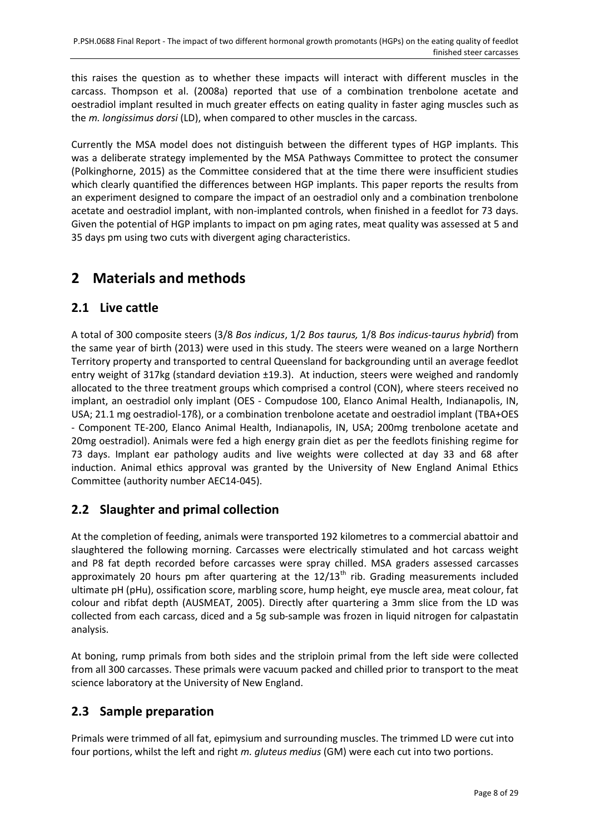this raises the question as to whether these impacts will interact with different muscles in the carcass. [Thompson et al. \(2008a\)](#page-28-2) reported that use of a combination trenbolone acetate and oestradiol implant resulted in much greater effects on eating quality in faster aging muscles such as the *m. longissimus dorsi* (LD), when compared to other muscles in the carcass.

Currently the MSA model does not distinguish between the different types of HGP implants. This was a deliberate strategy implemented by the MSA Pathways Committee to protect the consumer [\(Polkinghorne, 2015\)](#page-27-7) as the Committee considered that at the time there were insufficient studies which clearly quantified the differences between HGP implants. This paper reports the results from an experiment designed to compare the impact of an oestradiol only and a combination trenbolone acetate and oestradiol implant, with non-implanted controls, when finished in a feedlot for 73 days. Given the potential of HGP implants to impact on pm aging rates, meat quality was assessed at 5 and 35 days pm using two cuts with divergent aging characteristics.

## <span id="page-7-0"></span>**2 Materials and methods**

## <span id="page-7-1"></span>**2.1 Live cattle**

A total of 300 composite steers (3/8 *Bos indicus*, 1/2 *Bos taurus,* 1/8 *Bos indicus-taurus hybrid*) from the same year of birth (2013) were used in this study. The steers were weaned on a large Northern Territory property and transported to central Queensland for backgrounding until an average feedlot entry weight of 317kg (standard deviation ±19.3). At induction, steers were weighed and randomly allocated to the three treatment groups which comprised a control (CON), where steers received no implant, an oestradiol only implant (OES - Compudose 100, Elanco Animal Health, Indianapolis, IN, USA; 21.1 mg oestradiol-17ß), or a combination trenbolone acetate and oestradiol implant (TBA+OES - Component TE-200, Elanco Animal Health, Indianapolis, IN, USA; 200mg trenbolone acetate and 20mg oestradiol). Animals were fed a high energy grain diet as per the feedlots finishing regime for 73 days. Implant ear pathology audits and live weights were collected at day 33 and 68 after induction. Animal ethics approval was granted by the University of New England Animal Ethics Committee (authority number AEC14-045).

## <span id="page-7-2"></span>**2.2 Slaughter and primal collection**

At the completion of feeding, animals were transported 192 kilometres to a commercial abattoir and slaughtered the following morning. Carcasses were electrically stimulated and hot carcass weight and P8 fat depth recorded before carcasses were spray chilled. MSA graders assessed carcasses approximately 20 hours pm after quartering at the  $12/13<sup>th</sup>$  rib. Grading measurements included ultimate pH (pHu), ossification score, marbling score, hump height, eye muscle area, meat colour, fat colour and ribfat depth [\(AUSMEAT, 2005\)](#page-26-6). Directly after quartering a 3mm slice from the LD was collected from each carcass, diced and a 5g sub-sample was frozen in liquid nitrogen for calpastatin analysis.

At boning, rump primals from both sides and the striploin primal from the left side were collected from all 300 carcasses. These primals were vacuum packed and chilled prior to transport to the meat science laboratory at the University of New England.

## <span id="page-7-3"></span>**2.3 Sample preparation**

Primals were trimmed of all fat, epimysium and surrounding muscles. The trimmed LD were cut into four portions, whilst the left and right *m. gluteus medius* (GM) were each cut into two portions.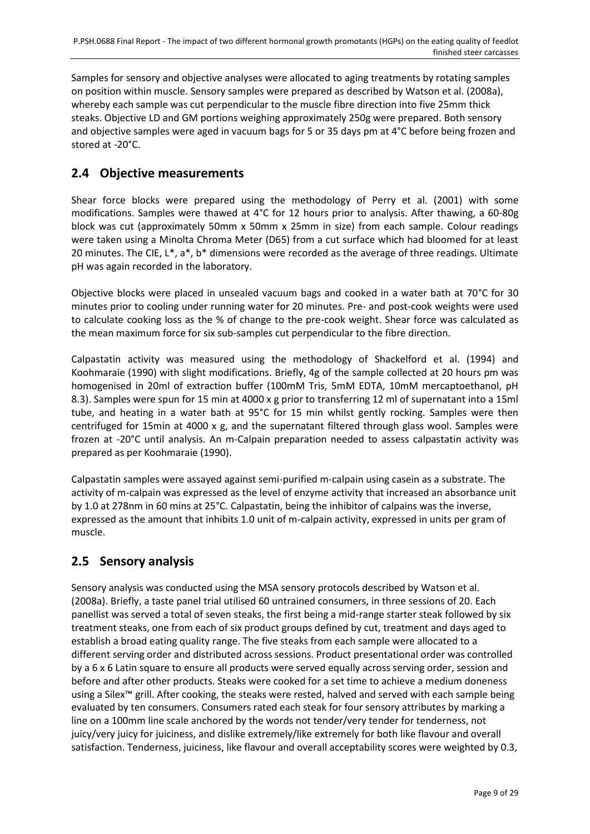Samples for sensory and objective analyses were allocated to aging treatments by rotating samples on position within muscle. Sensory samples were prepared as described by [Watson et al. \(2008a\),](#page-28-3) whereby each sample was cut perpendicular to the muscle fibre direction into five 25mm thick steaks. Objective LD and GM portions weighing approximately 250g were prepared. Both sensory and objective samples were aged in vacuum bags for 5 or 35 days pm at 4°C before being frozen and stored at -20°C.

## <span id="page-8-0"></span>**2.4 Objective measurements**

Shear force blocks were prepared using the methodology of [Perry et al. \(2001\)](#page-27-8) with some modifications. Samples were thawed at 4°C for 12 hours prior to analysis. After thawing, a 60-80g block was cut (approximately 50mm x 50mm x 25mm in size) from each sample. Colour readings were taken using a Minolta Chroma Meter (D65) from a cut surface which had bloomed for at least 20 minutes. The CIE, L\*, a\*, b\* dimensions were recorded as the average of three readings. Ultimate pH was again recorded in the laboratory.

Objective blocks were placed in unsealed vacuum bags and cooked in a water bath at 70°C for 30 minutes prior to cooling under running water for 20 minutes. Pre- and post-cook weights were used to calculate cooking loss as the % of change to the pre-cook weight. Shear force was calculated as the mean maximum force for six sub-samples cut perpendicular to the fibre direction.

Calpastatin activity was measured using the methodology of [Shackelford et al. \(1994\)](#page-27-9) and [Koohmaraie \(1990\)](#page-27-10) with slight modifications. Briefly, 4g of the sample collected at 20 hours pm was homogenised in 20ml of extraction buffer (100mM Tris, 5mM EDTA, 10mM mercaptoethanol, pH 8.3). Samples were spun for 15 min at 4000 x g prior to transferring 12 ml of supernatant into a 15ml tube, and heating in a water bath at 95°C for 15 min whilst gently rocking. Samples were then centrifuged for 15min at 4000 x g, and the supernatant filtered through glass wool. Samples were frozen at -20°C until analysis. An m-Calpain preparation needed to assess calpastatin activity was prepared as pe[r Koohmaraie \(1990\).](#page-27-10)

Calpastatin samples were assayed against semi-purified m-calpain using casein as a substrate. The activity of m-calpain was expressed as the level of enzyme activity that increased an absorbance unit by 1.0 at 278nm in 60 mins at 25°C. Calpastatin, being the inhibitor of calpains was the inverse, expressed as the amount that inhibits 1.0 unit of m-calpain activity, expressed in units per gram of muscle.

## <span id="page-8-1"></span>**2.5 Sensory analysis**

Sensory analysis was conducted using the MSA sensory protocols described b[y Watson et al.](#page-28-3)  (2008a). Briefly, a taste panel trial utilised 60 untrained consumers, in three sessions of 20. Each panellist was served a total of seven steaks, the first being a mid-range starter steak followed by six treatment steaks, one from each of six product groups defined by cut, treatment and days aged to establish a broad eating quality range. The five steaks from each sample were allocated to a different serving order and distributed across sessions. Product presentational order was controlled by a 6 x 6 Latin square to ensure all products were served equally across serving order, session and before and after other products. Steaks were cooked for a set time to achieve a medium doneness using a Silex™ grill. After cooking, the steaks were rested, halved and served with each sample being evaluated by ten consumers. Consumers rated each steak for four sensory attributes by marking a line on a 100mm line scale anchored by the words not tender/very tender for tenderness, not juicy/very juicy for juiciness, and dislike extremely/like extremely for both like flavour and overall satisfaction. Tenderness, juiciness, like flavour and overall acceptability scores were weighted by 0.3,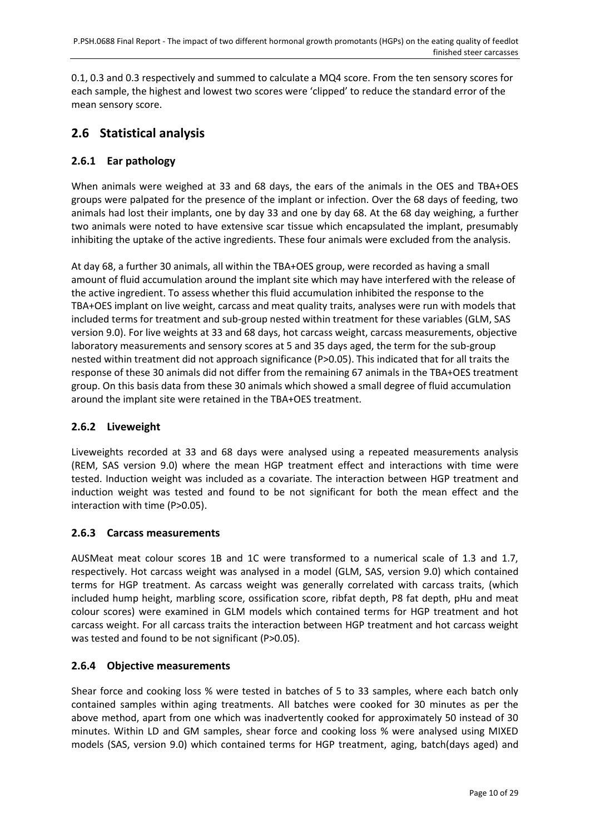0.1, 0.3 and 0.3 respectively and summed to calculate a MQ4 score. From the ten sensory scores for each sample, the highest and lowest two scores were 'clipped' to reduce the standard error of the mean sensory score.

## <span id="page-9-0"></span>**2.6 Statistical analysis**

#### <span id="page-9-1"></span>**2.6.1 Ear pathology**

When animals were weighed at 33 and 68 days, the ears of the animals in the OES and TBA+OES groups were palpated for the presence of the implant or infection. Over the 68 days of feeding, two animals had lost their implants, one by day 33 and one by day 68. At the 68 day weighing, a further two animals were noted to have extensive scar tissue which encapsulated the implant, presumably inhibiting the uptake of the active ingredients. These four animals were excluded from the analysis.

At day 68, a further 30 animals, all within the TBA+OES group, were recorded as having a small amount of fluid accumulation around the implant site which may have interfered with the release of the active ingredient. To assess whether this fluid accumulation inhibited the response to the TBA+OES implant on live weight, carcass and meat quality traits, analyses were run with models that included terms for treatment and sub-group nested within treatment for these variables (GLM, SAS version 9.0). For live weights at 33 and 68 days, hot carcass weight, carcass measurements, objective laboratory measurements and sensory scores at 5 and 35 days aged, the term for the sub-group nested within treatment did not approach significance (P>0.05). This indicated that for all traits the response of these 30 animals did not differ from the remaining 67 animals in the TBA+OES treatment group. On this basis data from these 30 animals which showed a small degree of fluid accumulation around the implant site were retained in the TBA+OES treatment.

#### <span id="page-9-2"></span>**2.6.2 Liveweight**

Liveweights recorded at 33 and 68 days were analysed using a repeated measurements analysis (REM, SAS version 9.0) where the mean HGP treatment effect and interactions with time were tested. Induction weight was included as a covariate. The interaction between HGP treatment and induction weight was tested and found to be not significant for both the mean effect and the interaction with time (P>0.05).

#### <span id="page-9-3"></span>**2.6.3 Carcass measurements**

AUSMeat meat colour scores 1B and 1C were transformed to a numerical scale of 1.3 and 1.7, respectively. Hot carcass weight was analysed in a model (GLM, SAS, version 9.0) which contained terms for HGP treatment. As carcass weight was generally correlated with carcass traits, (which included hump height, marbling score, ossification score, ribfat depth, P8 fat depth, pHu and meat colour scores) were examined in GLM models which contained terms for HGP treatment and hot carcass weight. For all carcass traits the interaction between HGP treatment and hot carcass weight was tested and found to be not significant (P>0.05).

#### <span id="page-9-4"></span>**2.6.4 Objective measurements**

Shear force and cooking loss % were tested in batches of 5 to 33 samples, where each batch only contained samples within aging treatments. All batches were cooked for 30 minutes as per the above method, apart from one which was inadvertently cooked for approximately 50 instead of 30 minutes. Within LD and GM samples, shear force and cooking loss % were analysed using MIXED models (SAS, version 9.0) which contained terms for HGP treatment, aging, batch(days aged) and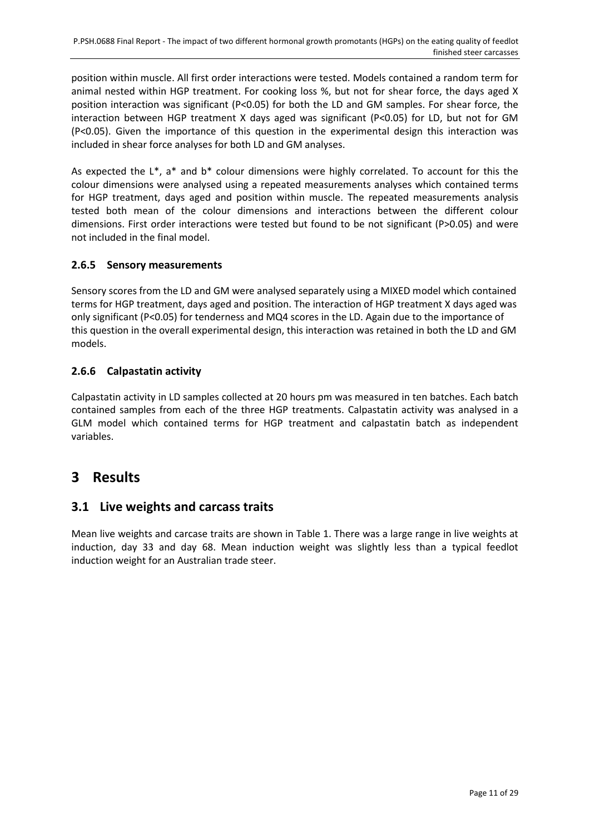position within muscle. All first order interactions were tested. Models contained a random term for animal nested within HGP treatment. For cooking loss %, but not for shear force, the days aged X position interaction was significant (P<0.05) for both the LD and GM samples. For shear force, the interaction between HGP treatment X days aged was significant (P<0.05) for LD, but not for GM (P<0.05). Given the importance of this question in the experimental design this interaction was included in shear force analyses for both LD and GM analyses.

As expected the  $L^*$ , a<sup>\*</sup> and  $b^*$  colour dimensions were highly correlated. To account for this the colour dimensions were analysed using a repeated measurements analyses which contained terms for HGP treatment, days aged and position within muscle. The repeated measurements analysis tested both mean of the colour dimensions and interactions between the different colour dimensions. First order interactions were tested but found to be not significant (P>0.05) and were not included in the final model.

#### <span id="page-10-0"></span>**2.6.5 Sensory measurements**

Sensory scores from the LD and GM were analysed separately using a MIXED model which contained terms for HGP treatment, days aged and position. The interaction of HGP treatment X days aged was only significant (P<0.05) for tenderness and MQ4 scores in the LD. Again due to the importance of this question in the overall experimental design, this interaction was retained in both the LD and GM models.

#### <span id="page-10-1"></span>**2.6.6 Calpastatin activity**

Calpastatin activity in LD samples collected at 20 hours pm was measured in ten batches. Each batch contained samples from each of the three HGP treatments. Calpastatin activity was analysed in a GLM model which contained terms for HGP treatment and calpastatin batch as independent variables.

## <span id="page-10-2"></span>**3 Results**

#### <span id="page-10-3"></span>**3.1 Live weights and carcass traits**

Mean live weights and carcase traits are shown in Table 1. There was a large range in live weights at induction, day 33 and day 68. Mean induction weight was slightly less than a typical feedlot induction weight for an Australian trade steer.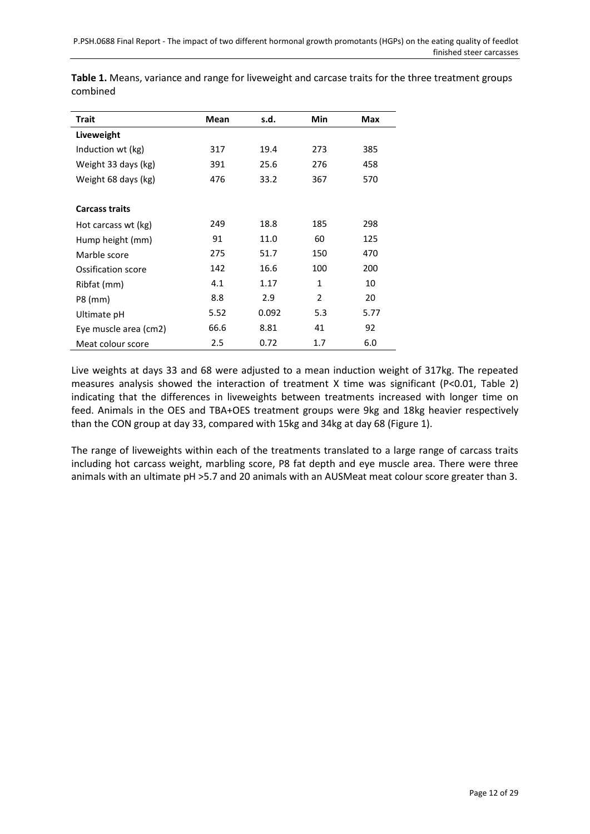| Trait                 | Mean | s.d.  | Min            | Max  |
|-----------------------|------|-------|----------------|------|
| Liveweight            |      |       |                |      |
| Induction wt (kg)     | 317  | 19.4  | 273            | 385  |
| Weight 33 days (kg)   | 391  | 25.6  | 276            | 458  |
| Weight 68 days (kg)   | 476  | 33.2  | 367            | 570  |
|                       |      |       |                |      |
| <b>Carcass traits</b> |      |       |                |      |
| Hot carcass wt (kg)   | 249  | 18.8  | 185            | 298  |
| Hump height (mm)      | 91   | 11.0  | 60             | 125  |
| Marble score          | 275  | 51.7  | 150            | 470  |
| Ossification score    | 142  | 16.6  | 100            | 200  |
| Ribfat (mm)           | 4.1  | 1.17  | $\mathbf{1}$   | 10   |
| P8 (mm)               | 8.8  | 2.9   | $\overline{2}$ | 20   |
| Ultimate pH           | 5.52 | 0.092 | 5.3            | 5.77 |
| Eye muscle area (cm2) | 66.6 | 8.81  | 41             | 92   |
| Meat colour score     | 2.5  | 0.72  | 1.7            | 6.0  |

**Table 1.** Means, variance and range for liveweight and carcase traits for the three treatment groups combined

Live weights at days 33 and 68 were adjusted to a mean induction weight of 317kg. The repeated measures analysis showed the interaction of treatment X time was significant (P<0.01, Table 2) indicating that the differences in liveweights between treatments increased with longer time on feed. Animals in the OES and TBA+OES treatment groups were 9kg and 18kg heavier respectively than the CON group at day 33, compared with 15kg and 34kg at day 68 (Figure 1).

The range of liveweights within each of the treatments translated to a large range of carcass traits including hot carcass weight, marbling score, P8 fat depth and eye muscle area. There were three animals with an ultimate pH >5.7 and 20 animals with an AUSMeat meat colour score greater than 3.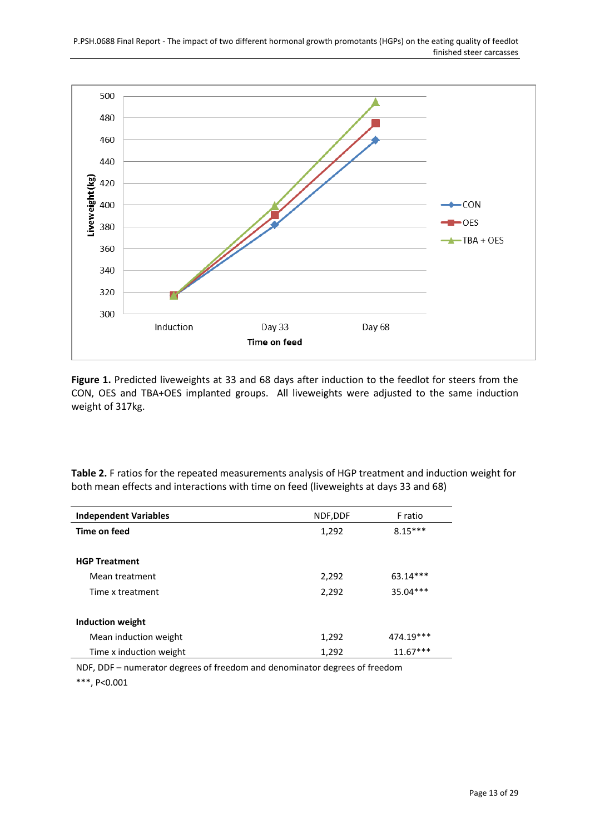

**Figure 1.** Predicted liveweights at 33 and 68 days after induction to the feedlot for steers from the CON, OES and TBA+OES implanted groups. All liveweights were adjusted to the same induction weight of 317kg.

**Table 2.** F ratios for the repeated measurements analysis of HGP treatment and induction weight for both mean effects and interactions with time on feed (liveweights at days 33 and 68)

| <b>Independent Variables</b> | NDF, DDF | F ratio    |
|------------------------------|----------|------------|
| Time on feed                 | 1,292    | $8.15***$  |
|                              |          |            |
| <b>HGP Treatment</b>         |          |            |
| Mean treatment               | 2,292    | 63.14***   |
| Time x treatment             | 2,292    | 35.04***   |
|                              |          |            |
| Induction weight             |          |            |
| Mean induction weight        | 1,292    | 474.19***  |
| Time x induction weight      | 1,292    | $11.67***$ |

NDF, DDF – numerator degrees of freedom and denominator degrees of freedom

\*\*\*, P<0.001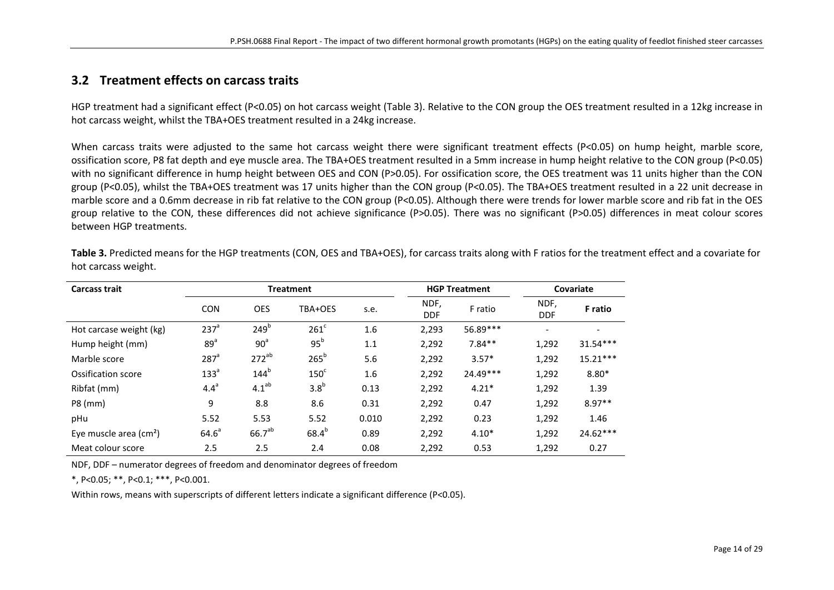#### **3.2 Treatment effects on carcass traits**

HGP treatment had a significant effect (P<0.05) on hot carcass weight (Table 3). Relative to the CON group the OES treatment resulted in a 12kg increase in hot carcass weight, whilst the TBA+OES treatment resulted in a 24kg increase.

When carcass traits were adjusted to the same hot carcass weight there were significant treatment effects (P<0.05) on hump height, marble score, ossification score, P8 fat depth and eye muscle area. The TBA+OES treatment resulted in a 5mm increase in hump height relative to the CON group (P<0.05) with no significant difference in hump height between OES and CON (P>0.05). For ossification score, the OES treatment was 11 units higher than the CON group (P<0.05), whilst the TBA+OES treatment was 17 units higher than the CON group (P<0.05). The TBA+OES treatment resulted in a 22 unit decrease in marble score and a 0.6mm decrease in rib fat relative to the CON group (P<0.05). Although there were trends for lower marble score and rib fat in the OES group relative to the CON, these differences did not achieve significance (P>0.05). There was no significant (P>0.05) differences in meat colour scores between HGP treatments.

<span id="page-13-0"></span>

| <b>Carcass trait</b>                   | <b>HGP Treatment</b><br><b>Treatment</b> |                    |                  |       | Covariate          |          |                    |                |
|----------------------------------------|------------------------------------------|--------------------|------------------|-------|--------------------|----------|--------------------|----------------|
|                                        | <b>CON</b>                               | <b>OES</b>         | TBA+OES          | s.e.  | NDF,<br><b>DDF</b> | F ratio  | NDF,<br><b>DDF</b> | <b>F</b> ratio |
| Hot carcase weight (kg)                | 237 <sup>a</sup>                         | 249 <sup>b</sup>   | $261^{\circ}$    | 1.6   | 2,293              | 56.89*** |                    |                |
| Hump height (mm)                       | 89 <sup>a</sup>                          | 90 <sup>a</sup>    | 95 <sup>b</sup>  | 1.1   | 2,292              | $7.84**$ | 1,292              | $31.54***$     |
| Marble score                           | $287$ <sup>a</sup>                       | $272^{ab}$         | $265^b$          | 5.6   | 2,292              | $3.57*$  | 1,292              | $15.21***$     |
| Ossification score                     | 133 <sup>a</sup>                         | $144^b$            | 150 <sup>c</sup> | 1.6   | 2,292              | 24.49*** | 1,292              | $8.80*$        |
| Ribfat (mm)                            | $4.4^a$                                  | 4.1 <sup>ab</sup>  | 3.8 <sup>b</sup> | 0.13  | 2,292              | $4.21*$  | 1,292              | 1.39           |
| P8 (mm)                                | 9                                        | 8.8                | 8.6              | 0.31  | 2,292              | 0.47     | 1,292              | $8.97**$       |
| pHu                                    | 5.52                                     | 5.53               | 5.52             | 0.010 | 2,292              | 0.23     | 1,292              | 1.46           |
| Eye muscle area $\text{(cm}^2\text{)}$ | 64.6 <sup>a</sup>                        | 66.7 <sup>ab</sup> | $68.4^{b}$       | 0.89  | 2,292              | $4.10*$  | 1,292              | 24.62***       |
| Meat colour score                      | 2.5                                      | 2.5                | 2.4              | 0.08  | 2,292              | 0.53     | 1,292              | 0.27           |

**Table 3.** Predicted means for the HGP treatments (CON, OES and TBA+OES), for carcass traits along with F ratios for the treatment effect and a covariate for hot carcass weight.

NDF, DDF – numerator degrees of freedom and denominator degrees of freedom

\*, P<0.05; \*\*, P<0.1; \*\*\*, P<0.001.

Within rows, means with superscripts of different letters indicate a significant difference (P<0.05).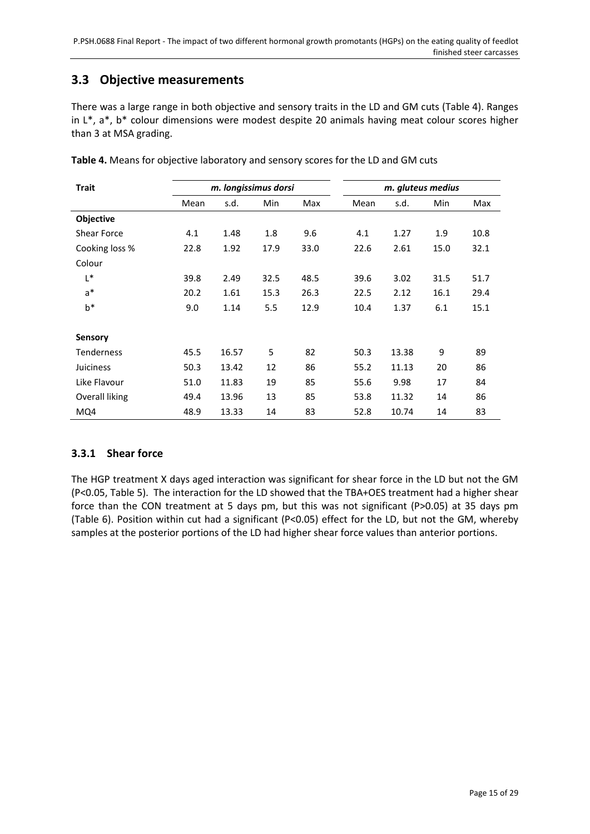#### <span id="page-14-0"></span>**3.3 Objective measurements**

There was a large range in both objective and sensory traits in the LD and GM cuts (Table 4). Ranges in L\*, a\*, b\* colour dimensions were modest despite 20 animals having meat colour scores higher than 3 at MSA grading.

| <b>Trait</b>      |      | m. longissimus dorsi |            |      | m. gluteus medius |       |      |      |
|-------------------|------|----------------------|------------|------|-------------------|-------|------|------|
|                   | Mean | s.d.                 | <b>Min</b> | Max  | Mean              | s.d.  | Min  | Max  |
| Objective         |      |                      |            |      |                   |       |      |      |
| Shear Force       | 4.1  | 1.48                 | 1.8        | 9.6  | 4.1               | 1.27  | 1.9  | 10.8 |
| Cooking loss %    | 22.8 | 1.92                 | 17.9       | 33.0 | 22.6              | 2.61  | 15.0 | 32.1 |
| Colour            |      |                      |            |      |                   |       |      |      |
| L*                | 39.8 | 2.49                 | 32.5       | 48.5 | 39.6              | 3.02  | 31.5 | 51.7 |
| $a^*$             | 20.2 | 1.61                 | 15.3       | 26.3 | 22.5              | 2.12  | 16.1 | 29.4 |
| $b^*$             | 9.0  | 1.14                 | 5.5        | 12.9 | 10.4              | 1.37  | 6.1  | 15.1 |
|                   |      |                      |            |      |                   |       |      |      |
| <b>Sensory</b>    |      |                      |            |      |                   |       |      |      |
| <b>Tenderness</b> | 45.5 | 16.57                | 5          | 82   | 50.3              | 13.38 | 9    | 89   |
| <b>Juiciness</b>  | 50.3 | 13.42                | 12         | 86   | 55.2              | 11.13 | 20   | 86   |
| Like Flavour      | 51.0 | 11.83                | 19         | 85   | 55.6              | 9.98  | 17   | 84   |
| Overall liking    | 49.4 | 13.96                | 13         | 85   | 53.8              | 11.32 | 14   | 86   |
| MQ4               | 48.9 | 13.33                | 14         | 83   | 52.8              | 10.74 | 14   | 83   |

**Table 4.** Means for objective laboratory and sensory scores for the LD and GM cuts

#### <span id="page-14-1"></span>**3.3.1 Shear force**

The HGP treatment X days aged interaction was significant for shear force in the LD but not the GM (P<0.05, Table 5). The interaction for the LD showed that the TBA+OES treatment had a higher shear force than the CON treatment at 5 days pm, but this was not significant (P>0.05) at 35 days pm (Table 6). Position within cut had a significant (P<0.05) effect for the LD, but not the GM, whereby samples at the posterior portions of the LD had higher shear force values than anterior portions.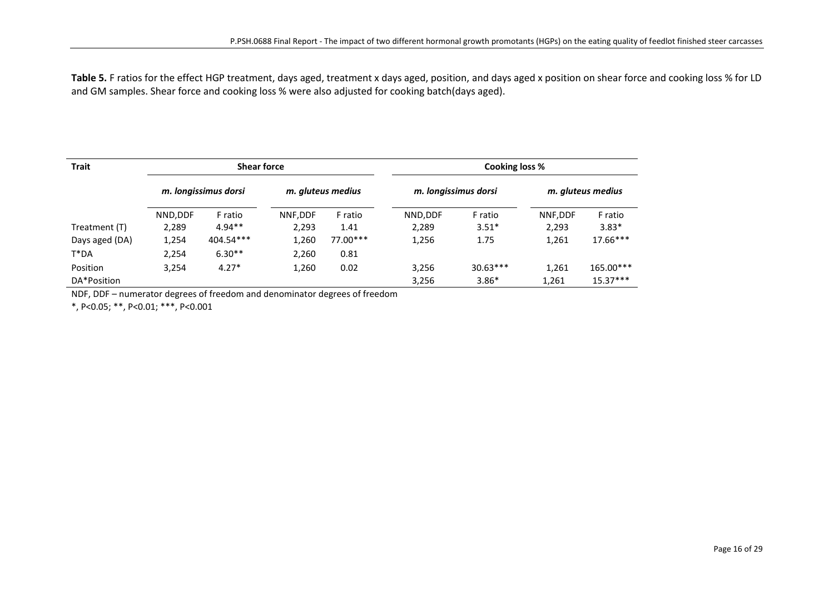Table 5. F ratios for the effect HGP treatment, days aged, treatment x days aged, position, and days aged x position on shear force and cooking loss % for LD and GM samples. Shear force and cooking loss % were also adjusted for cooking batch(days aged).

| <b>Trait</b>   | <b>Shear force</b>   |           |                   | Cooking loss % |                      |            |                   |            |
|----------------|----------------------|-----------|-------------------|----------------|----------------------|------------|-------------------|------------|
|                | m. longissimus dorsi |           | m. gluteus medius |                | m. longissimus dorsi |            | m. gluteus medius |            |
|                | NND, DDF             | F ratio   | NNF.DDF           | F ratio        | NND, DDF             | F ratio    | NNF, DDF          | F ratio    |
| Treatment (T)  | 2,289                | $4.94**$  | 2,293             | 1.41           | 2,289                | $3.51*$    | 2,293             | $3.83*$    |
| Days aged (DA) | 1,254                | 404.54*** | 1,260             | 77.00***       | 1,256                | 1.75       | 1,261             | $17.66***$ |
| $T^*DA$        | 2,254                | $6.30**$  | 2,260             | 0.81           |                      |            |                   |            |
| Position       | 3,254                | $4.27*$   | 1,260             | 0.02           | 3,256                | $30.63***$ | 1,261             | 165.00***  |
| DA*Position    |                      |           |                   |                | 3,256                | $3.86*$    | 1,261             | $15.37***$ |

NDF, DDF – numerator degrees of freedom and denominator degrees of freedom

\*, P<0.05; \*\*, P<0.01; \*\*\*, P<0.001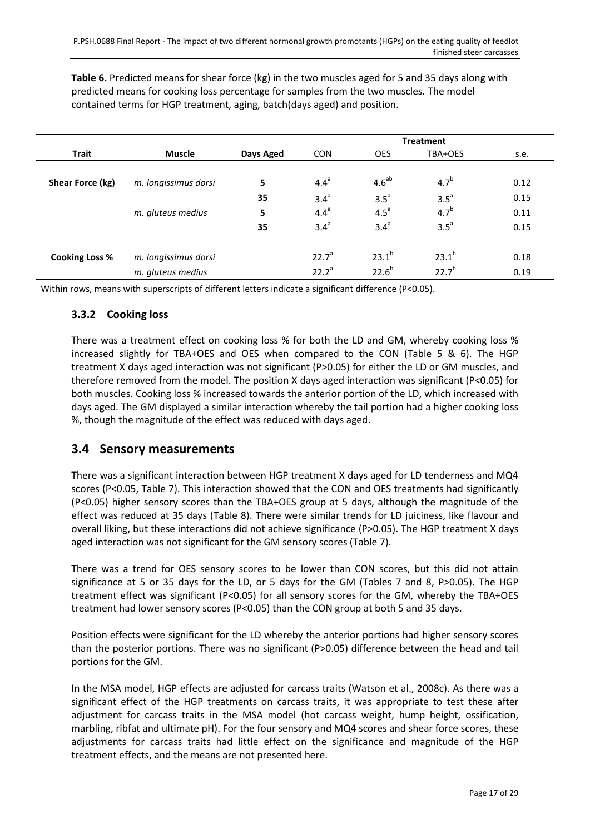**Table 6.** Predicted means for shear force (kg) in the two muscles aged for 5 and 35 days along with predicted means for cooking loss percentage for samples from the two muscles. The model contained terms for HGP treatment, aging, batch(days aged) and position.

|                       |                      |           | <b>Treatment</b> |                  |                  |      |  |
|-----------------------|----------------------|-----------|------------------|------------------|------------------|------|--|
| <b>Trait</b>          | <b>Muscle</b>        | Days Aged | <b>CON</b>       | <b>OES</b>       | TBA+OES          | s.e. |  |
| Shear Force (kg)      | m. longissimus dorsi | 5         | 4.4 <sup>a</sup> | $4.6^{ab}$       | 4.7 <sup>b</sup> | 0.12 |  |
|                       |                      | 35        | 3.4 <sup>a</sup> | $3.5^a$          | $3.5^a$          | 0.15 |  |
|                       | m. gluteus medius    | 5         | $4.4^a$          | 4.5 <sup>a</sup> | 4.7 <sup>b</sup> | 0.11 |  |
|                       |                      | 35        | 3.4 <sup>a</sup> | 3.4 <sup>a</sup> | $3.5^a$          | 0.15 |  |
| <b>Cooking Loss %</b> | m. longissimus dorsi |           | $22.7^a$         | $23.1^{b}$       | $23.1^{b}$       | 0.18 |  |
|                       | m. gluteus medius    |           | $22.2^a$         | $22.6^{b}$       | $22.7^{b}$       | 0.19 |  |

Within rows, means with superscripts of different letters indicate a significant difference (P<0.05).

#### <span id="page-16-0"></span>**3.3.2 Cooking loss**

There was a treatment effect on cooking loss % for both the LD and GM, whereby cooking loss % increased slightly for TBA+OES and OES when compared to the CON (Table 5 & 6). The HGP treatment X days aged interaction was not significant (P>0.05) for either the LD or GM muscles, and therefore removed from the model. The position X days aged interaction was significant (P<0.05) for both muscles. Cooking loss % increased towards the anterior portion of the LD, which increased with days aged. The GM displayed a similar interaction whereby the tail portion had a higher cooking loss %, though the magnitude of the effect was reduced with days aged.

#### <span id="page-16-1"></span>**3.4 Sensory measurements**

There was a significant interaction between HGP treatment X days aged for LD tenderness and MQ4 scores (P<0.05, Table 7). This interaction showed that the CON and OES treatments had significantly (P<0.05) higher sensory scores than the TBA+OES group at 5 days, although the magnitude of the effect was reduced at 35 days (Table 8). There were similar trends for LD juiciness, like flavour and overall liking, but these interactions did not achieve significance (P>0.05). The HGP treatment X days aged interaction was not significant for the GM sensory scores (Table 7).

There was a trend for OES sensory scores to be lower than CON scores, but this did not attain significance at 5 or 35 days for the LD, or 5 days for the GM (Tables 7 and 8, P>0.05). The HGP treatment effect was significant (P<0.05) for all sensory scores for the GM, whereby the TBA+OES treatment had lower sensory scores (P<0.05) than the CON group at both 5 and 35 days.

Position effects were significant for the LD whereby the anterior portions had higher sensory scores than the posterior portions. There was no significant (P>0.05) difference between the head and tail portions for the GM.

In the MSA model, HGP effects are adjusted for carcass traits [\(Watson et al., 2008c\)](#page-28-1). As there was a significant effect of the HGP treatments on carcass traits, it was appropriate to test these after adjustment for carcass traits in the MSA model (hot carcass weight, hump height, ossification, marbling, ribfat and ultimate pH). For the four sensory and MQ4 scores and shear force scores, these adjustments for carcass traits had little effect on the significance and magnitude of the HGP treatment effects, and the means are not presented here.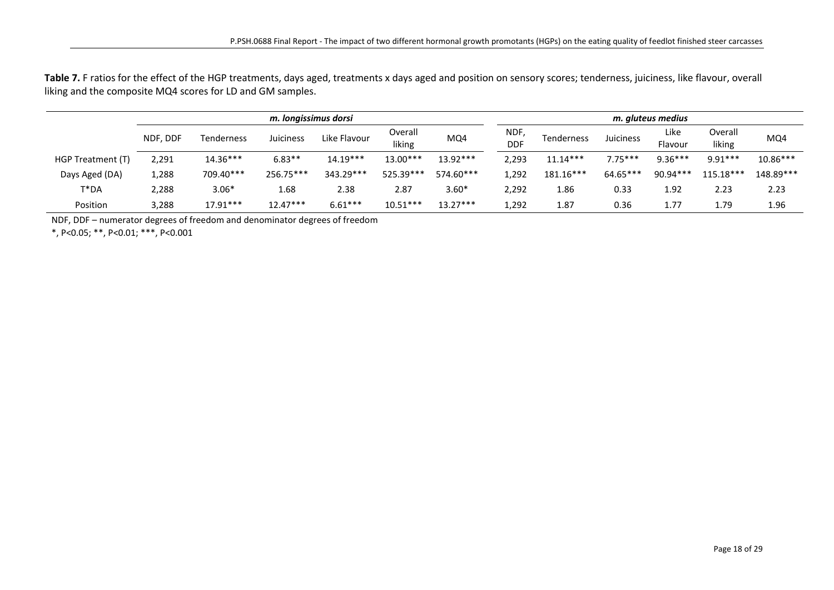Table 7. F ratios for the effect of the HGP treatments, days aged, treatments x days aged and position on sensory scores; tenderness, juiciness, like flavour, overall liking and the composite MQ4 scores for LD and GM samples.

|                   | m. Iongissimus dorsi |            |            |              |                   |            |                    |                   | m. gluteus medius |                 |                   |            |  |
|-------------------|----------------------|------------|------------|--------------|-------------------|------------|--------------------|-------------------|-------------------|-----------------|-------------------|------------|--|
|                   | NDF, DDF             | Tenderness | Juiciness  | Like Flavour | Overall<br>liking | MQ4        | NDF,<br><b>DDF</b> | <b>Tenderness</b> | Juiciness         | Like<br>Flavour | Overall<br>liking | MQ4        |  |
| HGP Treatment (T) | 2,291                | $14.36***$ | $6.83**$   | $14.19***$   | 13.00***          | 13.92***   | 2,293              | $11.14***$        | $7.75***$         | $9.36***$       | $9.91***$         | $10.86***$ |  |
| Days Aged (DA)    | 1,288                | 709.40***  | 256.75***  | 343.29***    | 525.39***         | 574.60***  | 1,292              | $181.16***$       | 64.65***          | $90.94***$      | 115.18***         | 148.89***  |  |
| T*DA              | 2,288                | $3.06*$    | 1.68       | 2.38         | 2.87              | $3.60*$    | 2,292              | 1.86              | 0.33              | 1.92            | 2.23              | 2.23       |  |
| Position          | 3,288                | $17.91***$ | $12.47***$ | $6.61***$    | $10.51***$        | $13.27***$ | 1,292              | 1.87              | 0.36              | 1.77            | 1.79              | 1.96       |  |

NDF, DDF – numerator degrees of freedom and denominator degrees of freedom

\*, P<0.05; \*\*, P<0.01; \*\*\*, P<0.001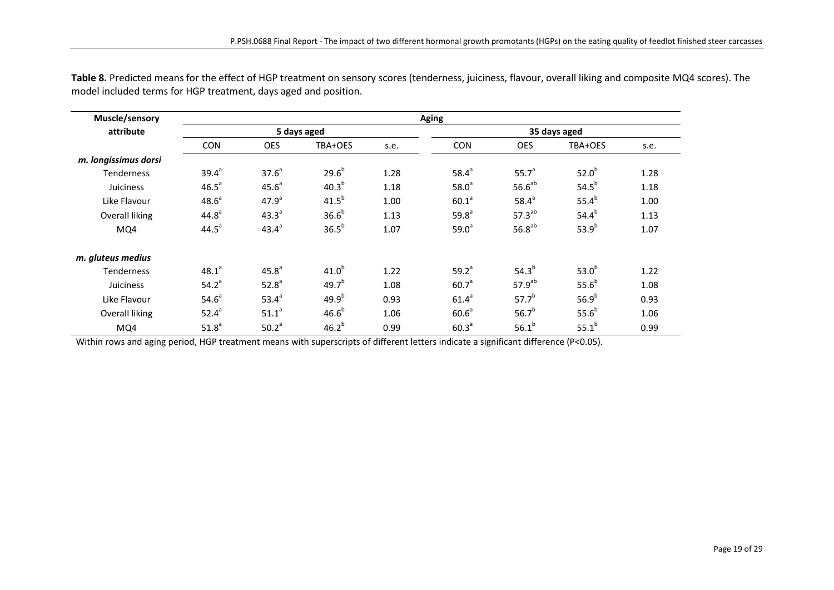| Muscle/sensory       | <b>Aging</b>      |                   |                   |      |                   |                    |                   |      |  |  |
|----------------------|-------------------|-------------------|-------------------|------|-------------------|--------------------|-------------------|------|--|--|
| attribute            |                   |                   | 5 days aged       |      | 35 days aged      |                    |                   |      |  |  |
|                      | <b>CON</b>        | <b>OES</b>        | TBA+OES           | s.e. | <b>CON</b>        | <b>OES</b>         | TBA+OES           | s.e. |  |  |
| m. longissimus dorsi |                   |                   |                   |      |                   |                    |                   |      |  |  |
| <b>Tenderness</b>    | $39.4^{a}$        | 37.6 <sup>a</sup> | $29.6^{b}$        | 1.28 | $58.4^{a}$        | 55.7 <sup>a</sup>  | 52.0 <sup>b</sup> | 1.28 |  |  |
| Juiciness            | 46.5 <sup>a</sup> | 45.6 <sup>a</sup> | 40.3 <sup>b</sup> | 1.18 | 58.0 <sup>a</sup> | $56.6^{ab}$        | 54.5 <sup>b</sup> | 1.18 |  |  |
| Like Flavour         | 48.6 <sup>a</sup> | 47.9 <sup>a</sup> | 41.5 <sup>b</sup> | 1.00 | 60.1 <sup>a</sup> | 58.4 <sup>a</sup>  | $55.4^{b}$        | 1.00 |  |  |
| Overall liking       | 44.8 <sup>a</sup> | $43.3^{a}$        | 36.6 <sup>b</sup> | 1.13 | 59.8 <sup>a</sup> | 57.3 <sup>ab</sup> | $54.4^{b}$        | 1.13 |  |  |
| MQ4                  | $44.5^a$          | $43.4^{a}$        | 36.5 <sup>b</sup> | 1.07 | 59.0 <sup>a</sup> | $56.8^{ab}$        | $53.9^{b}$        | 1.07 |  |  |
| m. gluteus medius    |                   |                   |                   |      |                   |                    |                   |      |  |  |
| <b>Tenderness</b>    | $48.1^{a}$        | 45.8 <sup>a</sup> | 41.0 <sup>b</sup> | 1.22 | $59.2^{a}$        | $54.3^{b}$         | 53.0 <sup>b</sup> | 1.22 |  |  |
| Juiciness            | 54.2 <sup>a</sup> | 52.8 <sup>a</sup> | $49.7^{b}$        | 1.08 | 60.7 <sup>a</sup> | 57.9 <sup>ab</sup> | 55.6 <sup>b</sup> | 1.08 |  |  |
| Like Flavour         | 54.6 <sup>a</sup> | $53.4^{a}$        | $49.9^{b}$        | 0.93 | 61.4 <sup>a</sup> | $57.7^{b}$         | 56.9 <sup>b</sup> | 0.93 |  |  |
| Overall liking       | $52.4^{a}$        | 51.1 <sup>a</sup> | 46.6 <sup>b</sup> | 1.06 | 60.6 <sup>a</sup> | $56.7^{b}$         | 55.6 <sup>b</sup> | 1.06 |  |  |
| MQ4                  | 51.8 <sup>a</sup> | 50.2 <sup>a</sup> | $46.2^{b}$        | 0.99 | 60.3 <sup>a</sup> | $56.1^{b}$         | $55.1^{b}$        | 0.99 |  |  |

**Table 8.** Predicted means for the effect of HGP treatment on sensory scores (tenderness, juiciness, flavour, overall liking and composite MQ4 scores). The model included terms for HGP treatment, days aged and position.

Within rows and aging period, HGP treatment means with superscripts of different letters indicate a significant difference (P<0.05).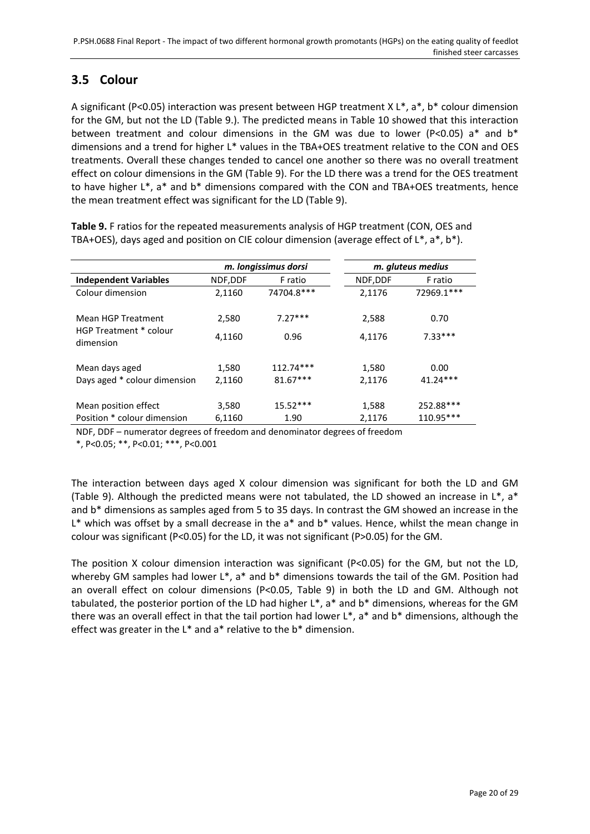## <span id="page-19-0"></span>**3.5 Colour**

A significant (P<0.05) interaction was present between HGP treatment X  $L^*$ , a\*, b\* colour dimension for the GM, but not the LD (Table 9.). The predicted means in Table 10 showed that this interaction between treatment and colour dimensions in the GM was due to lower (P<0.05) a\* and b\* dimensions and a trend for higher L\* values in the TBA+OES treatment relative to the CON and OES treatments. Overall these changes tended to cancel one another so there was no overall treatment effect on colour dimensions in the GM (Table 9). For the LD there was a trend for the OES treatment to have higher L\*, a\* and b\* dimensions compared with the CON and TBA+OES treatments, hence the mean treatment effect was significant for the LD (Table 9).

|                                     |         | m. longissimus dorsi |          | m. gluteus medius |
|-------------------------------------|---------|----------------------|----------|-------------------|
| <b>Independent Variables</b>        | NDF,DDF | F ratio              | NDF, DDF | F ratio           |
| Colour dimension                    | 2,1160  | 74704.8***           | 2,1176   | 72969.1***        |
| Mean HGP Treatment                  | 2,580   | $7.27***$            | 2,588    | 0.70              |
| HGP Treatment * colour<br>dimension | 4,1160  | 0.96                 | 4,1176   | $7.33***$         |
| Mean days aged                      | 1,580   | 112.74***            | 1,580    | 0.00              |
| Days aged * colour dimension        | 2,1160  | $81.67***$           | 2,1176   | $41.24***$        |
| Mean position effect                | 3,580   | $15.52***$           | 1,588    | 252.88***         |
| Position * colour dimension         | 6,1160  | 1.90                 | 2,1176   | 110.95***         |

**Table 9.** F ratios for the repeated measurements analysis of HGP treatment (CON, OES and TBA+OES), days aged and position on CIE colour dimension (average effect of  $L^*$ ,  $a^*$ ,  $b^*$ ).

NDF, DDF – numerator degrees of freedom and denominator degrees of freedom

\*, P<0.05; \*\*, P<0.01; \*\*\*, P<0.001

The interaction between days aged X colour dimension was significant for both the LD and GM (Table 9). Although the predicted means were not tabulated, the LD showed an increase in  $L^*$ , a\* and b\* dimensions as samples aged from 5 to 35 days. In contrast the GM showed an increase in the L<sup>\*</sup> which was offset by a small decrease in the a<sup>\*</sup> and b<sup>\*</sup> values. Hence, whilst the mean change in colour was significant (P<0.05) for the LD, it was not significant (P>0.05) for the GM.

The position X colour dimension interaction was significant (P<0.05) for the GM, but not the LD, whereby GM samples had lower L\*, a\* and b\* dimensions towards the tail of the GM. Position had an overall effect on colour dimensions (P<0.05, Table 9) in both the LD and GM. Although not tabulated, the posterior portion of the LD had higher L\*, a\* and b\* dimensions, whereas for the GM there was an overall effect in that the tail portion had lower L\*, a\* and b\* dimensions, although the effect was greater in the L\* and a\* relative to the b\* dimension.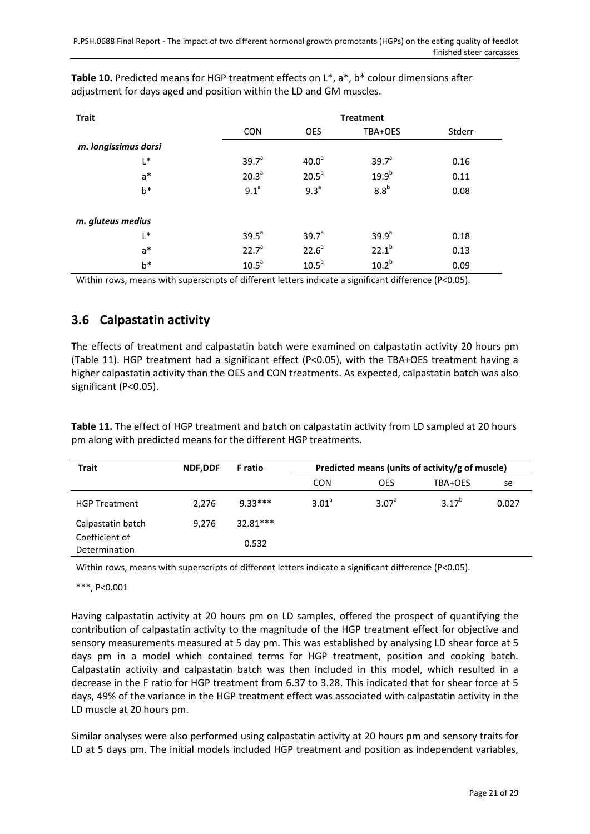| <b>Trait</b>         | <b>Treatment</b>  |                   |                   |        |  |  |  |
|----------------------|-------------------|-------------------|-------------------|--------|--|--|--|
|                      | <b>CON</b>        | <b>OES</b>        | TBA+OES           | Stderr |  |  |  |
| m. longissimus dorsi |                   |                   |                   |        |  |  |  |
| L*                   | 39.7 <sup>a</sup> | 40.0 <sup>a</sup> | 39.7 <sup>a</sup> | 0.16   |  |  |  |
| $a^*$                | 20.3 <sup>a</sup> | 20.5 <sup>a</sup> | $19.9^{b}$        | 0.11   |  |  |  |
| $b*$                 | 9.1 <sup>a</sup>  | 9.3 <sup>a</sup>  | 8.8 <sup>b</sup>  | 0.08   |  |  |  |
| m. gluteus medius    |                   |                   |                   |        |  |  |  |
| L*                   | 39.5 <sup>a</sup> | 39.7 <sup>a</sup> | 39.9 <sup>a</sup> | 0.18   |  |  |  |
| $a^*$                | 22.7 <sup>a</sup> | $22.6^a$          | $22.1^{b}$        | 0.13   |  |  |  |
| b*                   | 10.5 <sup>a</sup> | 10.5 <sup>a</sup> | $10.2^{b}$        | 0.09   |  |  |  |

**Table 10.** Predicted means for HGP treatment effects on L\*, a\*, b\* colour dimensions after adjustment for days aged and position within the LD and GM muscles.

Within rows, means with superscripts of different letters indicate a significant difference (P<0.05).

## <span id="page-20-0"></span>**3.6 Calpastatin activity**

The effects of treatment and calpastatin batch were examined on calpastatin activity 20 hours pm (Table 11). HGP treatment had a significant effect (P<0.05), with the TBA+OES treatment having a higher calpastatin activity than the OES and CON treatments. As expected, calpastatin batch was also significant (P<0.05).

**Table 11.** The effect of HGP treatment and batch on calpastatin activity from LD sampled at 20 hours pm along with predicted means for the different HGP treatments.

| <b>Trait</b>                    | <b>NDF.DDF</b> | <b>F</b> ratio |            | Predicted means (units of activity/g of muscle) |            |       |  |  |
|---------------------------------|----------------|----------------|------------|-------------------------------------------------|------------|-------|--|--|
|                                 |                |                | <b>CON</b> | <b>OES</b>                                      | TBA+OES    | se    |  |  |
| <b>HGP Treatment</b>            | 2.276          | $9.33***$      | $3.01^a$   | 3.07 <sup>a</sup>                               | $3.17^{b}$ | 0.027 |  |  |
| Calpastatin batch               | 9,276          | $32.81***$     |            |                                                 |            |       |  |  |
| Coefficient of<br>Determination |                | 0.532          |            |                                                 |            |       |  |  |

Within rows, means with superscripts of different letters indicate a significant difference (P<0.05).

\*\*\*, P<0.001

Having calpastatin activity at 20 hours pm on LD samples, offered the prospect of quantifying the contribution of calpastatin activity to the magnitude of the HGP treatment effect for objective and sensory measurements measured at 5 day pm. This was established by analysing LD shear force at 5 days pm in a model which contained terms for HGP treatment, position and cooking batch. Calpastatin activity and calpastatin batch was then included in this model, which resulted in a decrease in the F ratio for HGP treatment from 6.37 to 3.28. This indicated that for shear force at 5 days, 49% of the variance in the HGP treatment effect was associated with calpastatin activity in the LD muscle at 20 hours pm.

Similar analyses were also performed using calpastatin activity at 20 hours pm and sensory traits for LD at 5 days pm. The initial models included HGP treatment and position as independent variables,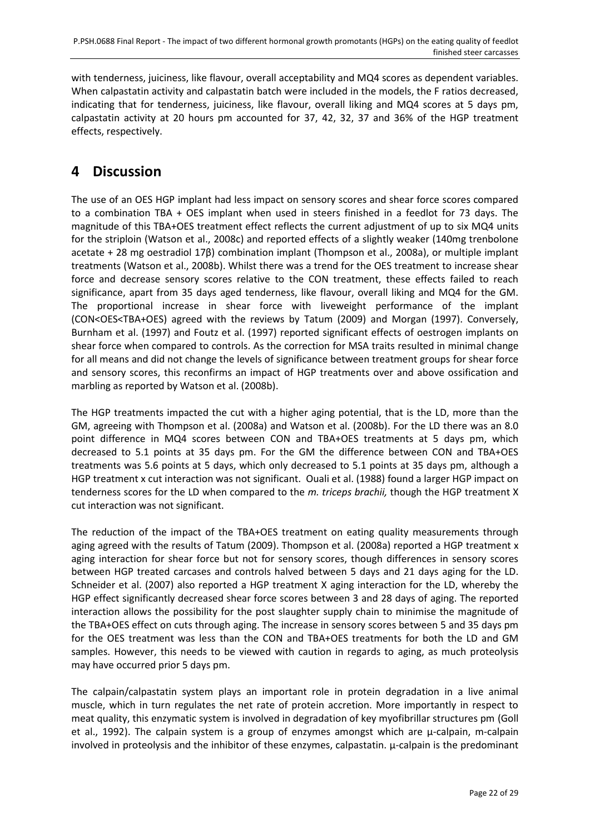with tenderness, juiciness, like flavour, overall acceptability and MQ4 scores as dependent variables. When calpastatin activity and calpastatin batch were included in the models, the F ratios decreased, indicating that for tenderness, juiciness, like flavour, overall liking and MQ4 scores at 5 days pm, calpastatin activity at 20 hours pm accounted for 37, 42, 32, 37 and 36% of the HGP treatment effects, respectively.

## <span id="page-21-0"></span>**4 Discussion**

The use of an OES HGP implant had less impact on sensory scores and shear force scores compared to a combination TBA + OES implant when used in steers finished in a feedlot for 73 days. The magnitude of this TBA+OES treatment effect reflects the current adjustment of up to six MQ4 units for the striploin [\(Watson et al., 2008c\)](#page-28-1) and reported effects of a slightly weaker (140mg trenbolone acetate + 28 mg oestradiol 17β) combination implant [\(Thompson et al., 2008a\)](#page-28-2), or multiple implant treatments [\(Watson et al., 2008b\)](#page-28-4). Whilst there was a trend for the OES treatment to increase shear force and decrease sensory scores relative to the CON treatment, these effects failed to reach significance, apart from 35 days aged tenderness, like flavour, overall liking and MQ4 for the GM. The proportional increase in shear force with liveweight performance of the implant (CON<OES<TBA+OES) agreed with the reviews by [Tatum \(2009\)](#page-27-3) and [Morgan \(1997\).](#page-27-4) Conversely, [Burnham et al. \(1997\)](#page-26-7) and [Foutz et al. \(1997\)](#page-26-8) reported significant effects of oestrogen implants on shear force when compared to controls. As the correction for MSA traits resulted in minimal change for all means and did not change the levels of significance between treatment groups for shear force and sensory scores, this reconfirms an impact of HGP treatments over and above ossification and marbling as reported b[y Watson et al. \(2008b\).](#page-28-4)

The HGP treatments impacted the cut with a higher aging potential, that is the LD, more than the GM, agreeing with [Thompson et al. \(2008a\)](#page-28-2) and [Watson et al. \(2008b\).](#page-28-4) For the LD there was an 8.0 point difference in MQ4 scores between CON and TBA+OES treatments at 5 days pm, which decreased to 5.1 points at 35 days pm. For the GM the difference between CON and TBA+OES treatments was 5.6 points at 5 days, which only decreased to 5.1 points at 35 days pm, although a HGP treatment x cut interaction was not significant. [Ouali et al. \(1988\)](#page-27-11) found a larger HGP impact on tenderness scores for the LD when compared to the *m. triceps brachii,* though the HGP treatment X cut interaction was not significant.

The reduction of the impact of the TBA+OES treatment on eating quality measurements through aging agreed with the results of [Tatum \(2009\).](#page-27-3) [Thompson et al. \(2008a\)](#page-28-2) reported a HGP treatment x aging interaction for shear force but not for sensory scores, though differences in sensory scores between HGP treated carcases and controls halved between 5 days and 21 days aging for the LD. [Schneider et al. \(2007\)](#page-27-12) also reported a HGP treatment X aging interaction for the LD, whereby the HGP effect significantly decreased shear force scores between 3 and 28 days of aging. The reported interaction allows the possibility for the post slaughter supply chain to minimise the magnitude of the TBA+OES effect on cuts through aging. The increase in sensory scores between 5 and 35 days pm for the OES treatment was less than the CON and TBA+OES treatments for both the LD and GM samples. However, this needs to be viewed with caution in regards to aging, as much proteolysis may have occurred prior 5 days pm.

The calpain/calpastatin system plays an important role in protein degradation in a live animal muscle, which in turn regulates the net rate of protein accretion. More importantly in respect to meat quality, this enzymatic system is involved in degradation of key myofibrillar structures pm [\(Goll](#page-26-9)  [et al., 1992\)](#page-26-9). The calpain system is a group of enzymes amongst which are µ-calpain, m-calpain involved in proteolysis and the inhibitor of these enzymes, calpastatin. µ-calpain is the predominant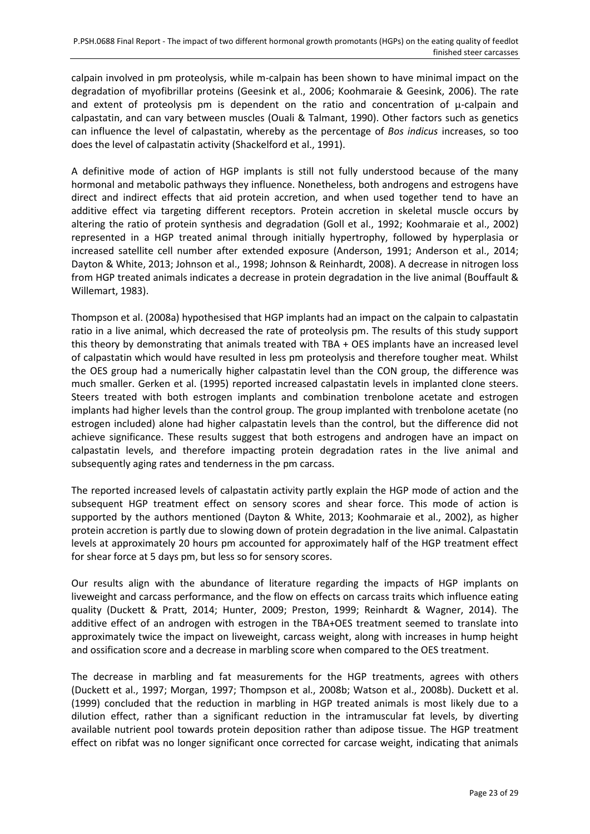calpain involved in pm proteolysis, while m-calpain has been shown to have minimal impact on the degradation of myofibrillar proteins [\(Geesink et al., 2006;](#page-26-10) [Koohmaraie & Geesink, 2006\)](#page-27-13). The rate and extent of proteolysis pm is dependent on the ratio and concentration of  $\mu$ -calpain and calpastatin, and can vary between muscles [\(Ouali & Talmant, 1990\)](#page-27-14). Other factors such as genetics can influence the level of calpastatin, whereby as the percentage of *Bos indicus* increases, so too does the level of calpastatin activity [\(Shackelford et al., 1991\)](#page-27-15).

A definitive mode of action of HGP implants is still not fully understood because of the many hormonal and metabolic pathways they influence. Nonetheless, both androgens and estrogens have direct and indirect effects that aid protein accretion, and when used together tend to have an additive effect via targeting different receptors. Protein accretion in skeletal muscle occurs by altering the ratio of protein synthesis and degradation [\(Goll et al., 1992;](#page-26-9) [Koohmaraie et al., 2002\)](#page-27-5) represented in a HGP treated animal through initially hypertrophy, followed by hyperplasia or increased satellite cell number after extended exposure [\(Anderson, 1991;](#page-26-11) [Anderson et al., 2014;](#page-26-12) [Dayton & White, 2013;](#page-26-13) [Johnson et al., 1998;](#page-27-16) [Johnson & Reinhardt, 2008\)](#page-27-17). A decrease in nitrogen loss from HGP treated animals indicates a decrease in protein degradation in the live animal [\(Bouffault &](#page-26-14)  [Willemart, 1983\)](#page-26-14).

[Thompson et al. \(2008a\)](#page-28-2) hypothesised that HGP implants had an impact on the calpain to calpastatin ratio in a live animal, which decreased the rate of proteolysis pm. The results of this study support this theory by demonstrating that animals treated with TBA + OES implants have an increased level of calpastatin which would have resulted in less pm proteolysis and therefore tougher meat. Whilst the OES group had a numerically higher calpastatin level than the CON group, the difference was much smaller. [Gerken et al. \(1995\)](#page-26-15) reported increased calpastatin levels in implanted clone steers. Steers treated with both estrogen implants and combination trenbolone acetate and estrogen implants had higher levels than the control group. The group implanted with trenbolone acetate (no estrogen included) alone had higher calpastatin levels than the control, but the difference did not achieve significance. These results suggest that both estrogens and androgen have an impact on calpastatin levels, and therefore impacting protein degradation rates in the live animal and subsequently aging rates and tenderness in the pm carcass.

The reported increased levels of calpastatin activity partly explain the HGP mode of action and the subsequent HGP treatment effect on sensory scores and shear force. This mode of action is supported by the authors mentioned [\(Dayton & White, 2013;](#page-26-13) [Koohmaraie et al., 2002\)](#page-27-5), as higher protein accretion is partly due to slowing down of protein degradation in the live animal. Calpastatin levels at approximately 20 hours pm accounted for approximately half of the HGP treatment effect for shear force at 5 days pm, but less so for sensory scores.

Our results align with the abundance of literature regarding the impacts of HGP implants on liveweight and carcass performance, and the flow on effects on carcass traits which influence eating quality [\(Duckett & Pratt, 2014;](#page-26-3) [Hunter, 2009;](#page-26-2) [Preston, 1999;](#page-27-0) [Reinhardt & Wagner, 2014\)](#page-27-18). The additive effect of an androgen with estrogen in the TBA+OES treatment seemed to translate into approximately twice the impact on liveweight, carcass weight, along with increases in hump height and ossification score and a decrease in marbling score when compared to the OES treatment.

The decrease in marbling and fat measurements for the HGP treatments, agrees with others [\(Duckett et al., 1997;](#page-26-16) [Morgan, 1997;](#page-27-4) [Thompson et al., 2008b;](#page-28-5) [Watson et al., 2008b\)](#page-28-4). [Duckett et al.](#page-26-17)  (1999) concluded that the reduction in marbling in HGP treated animals is most likely due to a dilution effect, rather than a significant reduction in the intramuscular fat levels, by diverting available nutrient pool towards protein deposition rather than adipose tissue. The HGP treatment effect on ribfat was no longer significant once corrected for carcase weight, indicating that animals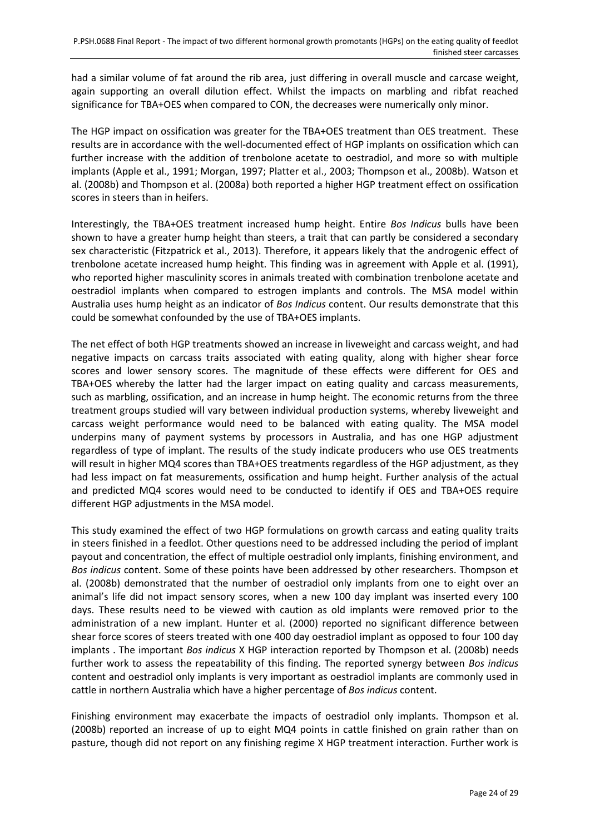had a similar volume of fat around the rib area, just differing in overall muscle and carcase weight, again supporting an overall dilution effect. Whilst the impacts on marbling and ribfat reached significance for TBA+OES when compared to CON, the decreases were numerically only minor.

The HGP impact on ossification was greater for the TBA+OES treatment than OES treatment. These results are in accordance with the well-documented effect of HGP implants on ossification which can further increase with the addition of trenbolone acetate to oestradiol, and more so with multiple implants [\(Apple et al., 1991;](#page-26-18) [Morgan, 1997;](#page-27-4) [Platter et al., 2003;](#page-27-19) [Thompson et al., 2008b\)](#page-28-5). [Watson et](#page-28-4)  al. (2008b) and [Thompson et al. \(2008a\)](#page-28-2) both reported a higher HGP treatment effect on ossification scores in steers than in heifers.

Interestingly, the TBA+OES treatment increased hump height. Entire *Bos Indicus* bulls have been shown to have a greater hump height than steers, a trait that can partly be considered a secondary sex characteristic [\(Fitzpatrick et al., 2013\)](#page-26-19). Therefore, it appears likely that the androgenic effect of trenbolone acetate increased hump height. This finding was in agreement with [Apple et al. \(1991\),](#page-26-18) who reported higher masculinity scores in animals treated with combination trenbolone acetate and oestradiol implants when compared to estrogen implants and controls. The MSA model within Australia uses hump height as an indicator of *Bos Indicus* content. Our results demonstrate that this could be somewhat confounded by the use of TBA+OES implants.

The net effect of both HGP treatments showed an increase in liveweight and carcass weight, and had negative impacts on carcass traits associated with eating quality, along with higher shear force scores and lower sensory scores. The magnitude of these effects were different for OES and TBA+OES whereby the latter had the larger impact on eating quality and carcass measurements, such as marbling, ossification, and an increase in hump height. The economic returns from the three treatment groups studied will vary between individual production systems, whereby liveweight and carcass weight performance would need to be balanced with eating quality. The MSA model underpins many of payment systems by processors in Australia, and has one HGP adjustment regardless of type of implant. The results of the study indicate producers who use OES treatments will result in higher MQ4 scores than TBA+OES treatments regardless of the HGP adjustment, as they had less impact on fat measurements, ossification and hump height. Further analysis of the actual and predicted MQ4 scores would need to be conducted to identify if OES and TBA+OES require different HGP adjustments in the MSA model.

This study examined the effect of two HGP formulations on growth carcass and eating quality traits in steers finished in a feedlot. Other questions need to be addressed including the period of implant payout and concentration, the effect of multiple oestradiol only implants, finishing environment, and *Bos indicus* content. Some of these points have been addressed by other researchers. [Thompson et](#page-28-5)  al. (2008b) demonstrated that the number of oestradiol only implants from one to eight over an animal's life did not impact sensory scores, when a new 100 day implant was inserted every 100 days. These results need to be viewed with caution as old implants were removed prior to the administration of a new implant. [Hunter et al. \(2000\)](#page-26-20) reported no significant difference between shear force scores of steers treated with one 400 day oestradiol implant as opposed to four 100 day implants . The important *Bos indicus* X HGP interaction reported by [Thompson et al. \(2008b\)](#page-28-5) needs further work to assess the repeatability of this finding. The reported synergy between *Bos indicus* content and oestradiol only implants is very important as oestradiol implants are commonly used in cattle in northern Australia which have a higher percentage of *Bos indicus* content.

Finishing environment may exacerbate the impacts of oestradiol only implants. [Thompson et al.](#page-28-5)  (2008b) reported an increase of up to eight MQ4 points in cattle finished on grain rather than on pasture, though did not report on any finishing regime X HGP treatment interaction. Further work is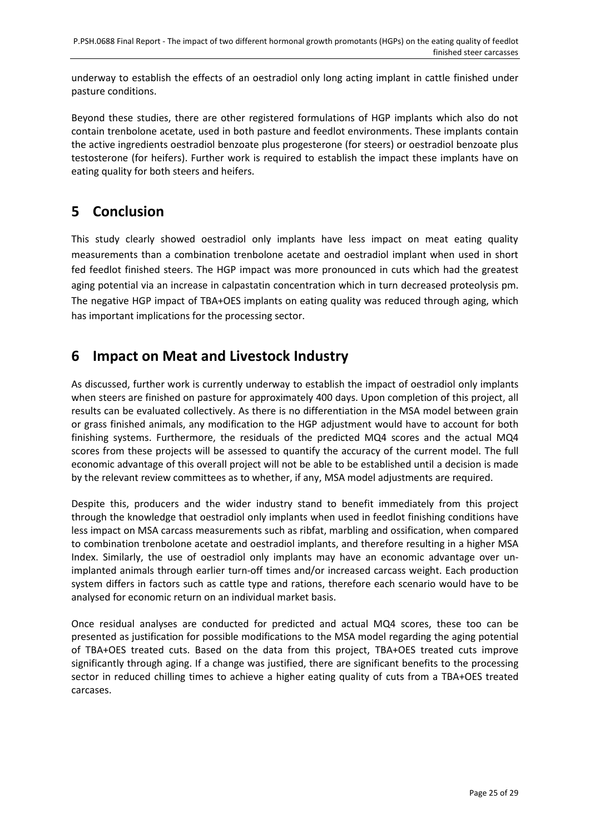underway to establish the effects of an oestradiol only long acting implant in cattle finished under pasture conditions.

Beyond these studies, there are other registered formulations of HGP implants which also do not contain trenbolone acetate, used in both pasture and feedlot environments. These implants contain the active ingredients oestradiol benzoate plus progesterone (for steers) or oestradiol benzoate plus testosterone (for heifers). Further work is required to establish the impact these implants have on eating quality for both steers and heifers.

## <span id="page-24-0"></span>**5 Conclusion**

This study clearly showed oestradiol only implants have less impact on meat eating quality measurements than a combination trenbolone acetate and oestradiol implant when used in short fed feedlot finished steers. The HGP impact was more pronounced in cuts which had the greatest aging potential via an increase in calpastatin concentration which in turn decreased proteolysis pm. The negative HGP impact of TBA+OES implants on eating quality was reduced through aging, which has important implications for the processing sector.

## <span id="page-24-1"></span>**6 Impact on Meat and Livestock Industry**

As discussed, further work is currently underway to establish the impact of oestradiol only implants when steers are finished on pasture for approximately 400 days. Upon completion of this project, all results can be evaluated collectively. As there is no differentiation in the MSA model between grain or grass finished animals, any modification to the HGP adjustment would have to account for both finishing systems. Furthermore, the residuals of the predicted MQ4 scores and the actual MQ4 scores from these projects will be assessed to quantify the accuracy of the current model. The full economic advantage of this overall project will not be able to be established until a decision is made by the relevant review committees as to whether, if any, MSA model adjustments are required.

Despite this, producers and the wider industry stand to benefit immediately from this project through the knowledge that oestradiol only implants when used in feedlot finishing conditions have less impact on MSA carcass measurements such as ribfat, marbling and ossification, when compared to combination trenbolone acetate and oestradiol implants, and therefore resulting in a higher MSA Index. Similarly, the use of oestradiol only implants may have an economic advantage over unimplanted animals through earlier turn-off times and/or increased carcass weight. Each production system differs in factors such as cattle type and rations, therefore each scenario would have to be analysed for economic return on an individual market basis.

Once residual analyses are conducted for predicted and actual MQ4 scores, these too can be presented as justification for possible modifications to the MSA model regarding the aging potential of TBA+OES treated cuts. Based on the data from this project, TBA+OES treated cuts improve significantly through aging. If a change was justified, there are significant benefits to the processing sector in reduced chilling times to achieve a higher eating quality of cuts from a TBA+OES treated carcases.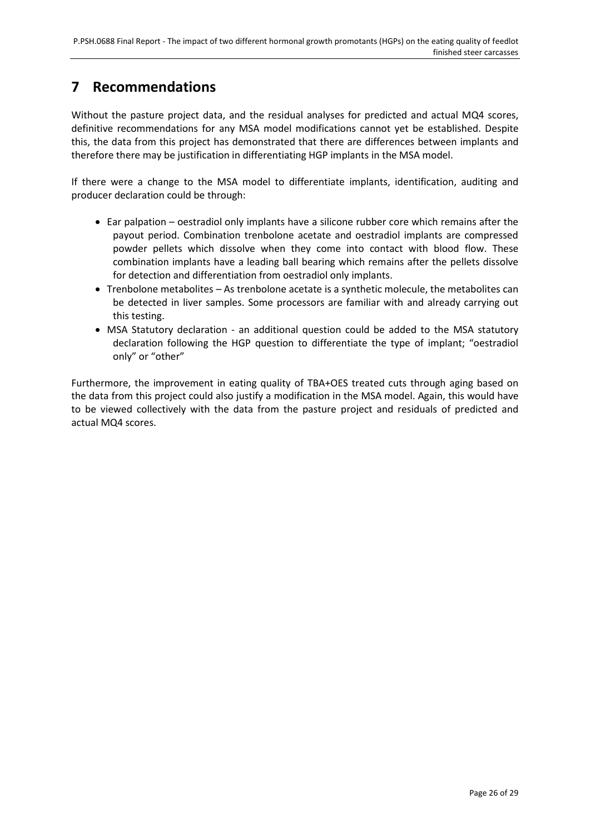## <span id="page-25-0"></span>**7 Recommendations**

Without the pasture project data, and the residual analyses for predicted and actual MQ4 scores, definitive recommendations for any MSA model modifications cannot yet be established. Despite this, the data from this project has demonstrated that there are differences between implants and therefore there may be justification in differentiating HGP implants in the MSA model.

If there were a change to the MSA model to differentiate implants, identification, auditing and producer declaration could be through:

- Ear palpation oestradiol only implants have a silicone rubber core which remains after the payout period. Combination trenbolone acetate and oestradiol implants are compressed powder pellets which dissolve when they come into contact with blood flow. These combination implants have a leading ball bearing which remains after the pellets dissolve for detection and differentiation from oestradiol only implants.
- Trenbolone metabolites As trenbolone acetate is a synthetic molecule, the metabolites can be detected in liver samples. Some processors are familiar with and already carrying out this testing.
- MSA Statutory declaration an additional question could be added to the MSA statutory declaration following the HGP question to differentiate the type of implant; "oestradiol only" or "other"

Furthermore, the improvement in eating quality of TBA+OES treated cuts through aging based on the data from this project could also justify a modification in the MSA model. Again, this would have to be viewed collectively with the data from the pasture project and residuals of predicted and actual MQ4 scores.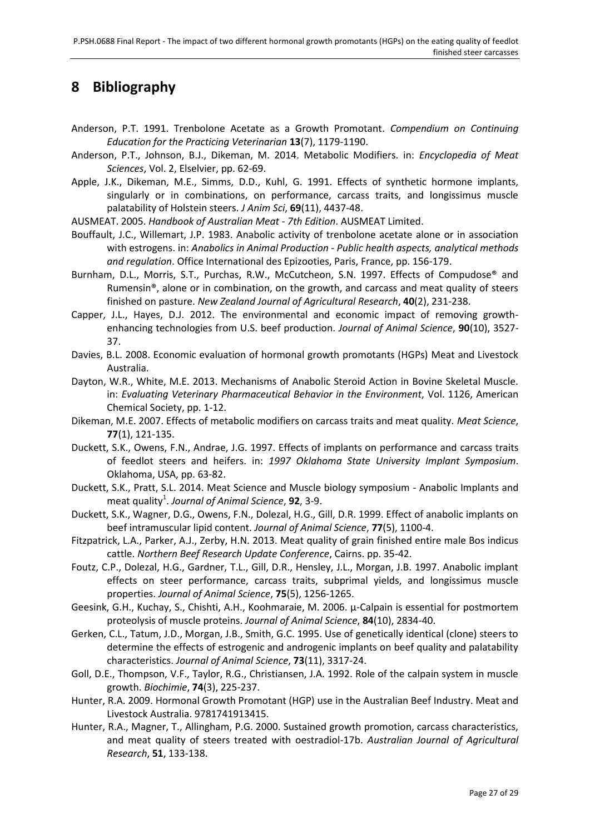## <span id="page-26-1"></span>**8 Bibliography**

- <span id="page-26-11"></span>Anderson, P.T. 1991. Trenbolone Acetate as a Growth Promotant. *Compendium on Continuing Education for the Practicing Veterinarian* **13**(7), 1179-1190.
- <span id="page-26-12"></span>Anderson, P.T., Johnson, B.J., Dikeman, M. 2014. Metabolic Modifiers. in: *Encyclopedia of Meat Sciences*, Vol. 2, Elselvier, pp. 62-69.
- <span id="page-26-18"></span>Apple, J.K., Dikeman, M.E., Simms, D.D., Kuhl, G. 1991. Effects of synthetic hormone implants, singularly or in combinations, on performance, carcass traits, and longissimus muscle palatability of Holstein steers. *J Anim Sci*, **69**(11), 4437-48.
- <span id="page-26-6"></span>AUSMEAT. 2005. *Handbook of Australian Meat - 7th Edition*. AUSMEAT Limited.
- <span id="page-26-14"></span>Bouffault, J.C., Willemart, J.P. 1983. Anabolic activity of trenbolone acetate alone or in association with estrogens. in: *Anabolics in Animal Production - Public health aspects, analytical methods and regulation*. Office International des Epizooties, Paris, France, pp. 156-179.
- <span id="page-26-7"></span>Burnham, D.L., Morris, S.T., Purchas, R.W., McCutcheon, S.N. 1997. Effects of Compudose® and Rumensin®, alone or in combination, on the growth, and carcass and meat quality of steers finished on pasture. *New Zealand Journal of Agricultural Research*, **40**(2), 231-238.
- <span id="page-26-5"></span>Capper, J.L., Hayes, D.J. 2012. The environmental and economic impact of removing growthenhancing technologies from U.S. beef production. *Journal of Animal Science*, **90**(10), 3527- 37.
- <span id="page-26-0"></span>Davies, B.L. 2008. Economic evaluation of hormonal growth promotants (HGPs) Meat and Livestock Australia.
- <span id="page-26-13"></span>Dayton, W.R., White, M.E. 2013. Mechanisms of Anabolic Steroid Action in Bovine Skeletal Muscle. in: *Evaluating Veterinary Pharmaceutical Behavior in the Environment*, Vol. 1126, American Chemical Society, pp. 1-12.
- <span id="page-26-4"></span>Dikeman, M.E. 2007. Effects of metabolic modifiers on carcass traits and meat quality. *Meat Science*, **77**(1), 121-135.
- <span id="page-26-16"></span>Duckett, S.K., Owens, F.N., Andrae, J.G. 1997. Effects of implants on performance and carcass traits of feedlot steers and heifers. in: *1997 Oklahoma State University Implant Symposium*. Oklahoma, USA, pp. 63-82.
- <span id="page-26-3"></span>Duckett, S.K., Pratt, S.L. 2014. Meat Science and Muscle biology symposium - Anabolic Implants and meat quality<sup>1</sup>. Journal of Animal Science, 92, 3-9.
- <span id="page-26-17"></span>Duckett, S.K., Wagner, D.G., Owens, F.N., Dolezal, H.G., Gill, D.R. 1999. Effect of anabolic implants on beef intramuscular lipid content. *Journal of Animal Science*, **77**(5), 1100-4.
- <span id="page-26-19"></span>Fitzpatrick, L.A., Parker, A.J., Zerby, H.N. 2013. Meat quality of grain finished entire male Bos indicus cattle. *Northern Beef Research Update Conference*, Cairns. pp. 35-42.
- <span id="page-26-8"></span>Foutz, C.P., Dolezal, H.G., Gardner, T.L., Gill, D.R., Hensley, J.L., Morgan, J.B. 1997. Anabolic implant effects on steer performance, carcass traits, subprimal yields, and longissimus muscle properties. *Journal of Animal Science*, **75**(5), 1256-1265.
- <span id="page-26-10"></span>Geesink, G.H., Kuchay, S., Chishti, A.H., Koohmaraie, M. 2006. μ-Calpain is essential for postmortem proteolysis of muscle proteins. *Journal of Animal Science*, **84**(10), 2834-40.
- <span id="page-26-15"></span>Gerken, C.L., Tatum, J.D., Morgan, J.B., Smith, G.C. 1995. Use of genetically identical (clone) steers to determine the effects of estrogenic and androgenic implants on beef quality and palatability characteristics. *Journal of Animal Science*, **73**(11), 3317-24.
- <span id="page-26-9"></span>Goll, D.E., Thompson, V.F., Taylor, R.G., Christiansen, J.A. 1992. Role of the calpain system in muscle growth. *Biochimie*, **74**(3), 225-237.
- <span id="page-26-2"></span>Hunter, R.A. 2009. Hormonal Growth Promotant (HGP) use in the Australian Beef Industry. Meat and Livestock Australia. 9781741913415.
- <span id="page-26-20"></span>Hunter, R.A., Magner, T., Allingham, P.G. 2000. Sustained growth promotion, carcass characteristics, and meat quality of steers treated with oestradiol-17b. *Australian Journal of Agricultural Research*, **51**, 133-138.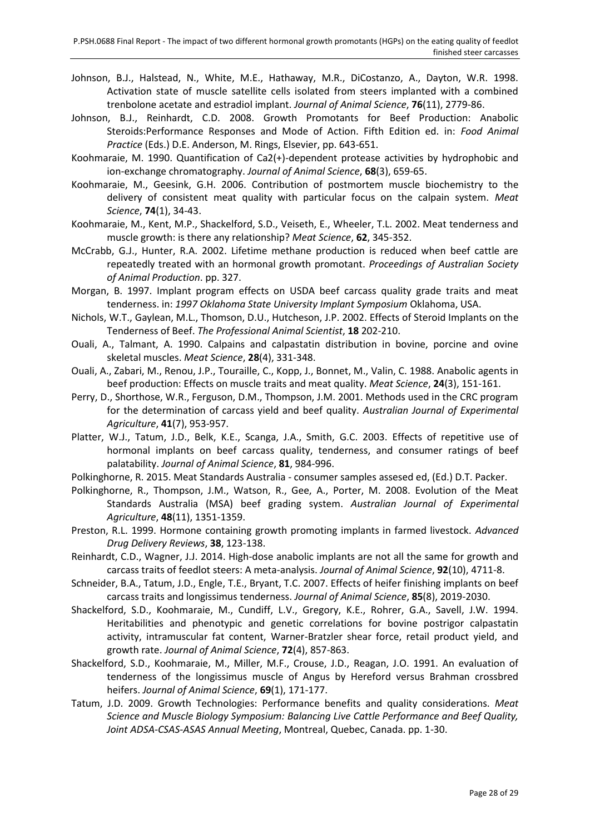- <span id="page-27-16"></span>Johnson, B.J., Halstead, N., White, M.E., Hathaway, M.R., DiCostanzo, A., Dayton, W.R. 1998. Activation state of muscle satellite cells isolated from steers implanted with a combined trenbolone acetate and estradiol implant. *Journal of Animal Science*, **76**(11), 2779-86.
- <span id="page-27-17"></span>Johnson, B.J., Reinhardt, C.D. 2008. Growth Promotants for Beef Production: Anabolic Steroids:Performance Responses and Mode of Action. Fifth Edition ed. in: *Food Animal Practice* (Eds.) D.E. Anderson, M. Rings, Elsevier, pp. 643-651.
- <span id="page-27-10"></span>Koohmaraie, M. 1990. Quantification of Ca2(+)-dependent protease activities by hydrophobic and ion-exchange chromatography. *Journal of Animal Science*, **68**(3), 659-65.
- <span id="page-27-13"></span>Koohmaraie, M., Geesink, G.H. 2006. Contribution of postmortem muscle biochemistry to the delivery of consistent meat quality with particular focus on the calpain system. *Meat Science*, **74**(1), 34-43.
- <span id="page-27-5"></span>Koohmaraie, M., Kent, M.P., Shackelford, S.D., Veiseth, E., Wheeler, T.L. 2002. Meat tenderness and muscle growth: is there any relationship? *Meat Science*, **62**, 345-352.
- <span id="page-27-1"></span>McCrabb, G.J., Hunter, R.A. 2002. Lifetime methane production is reduced when beef cattle are repeatedly treated with an hormonal growth promotant. *Proceedings of Australian Society of Animal Production*. pp. 327.
- <span id="page-27-4"></span>Morgan, B. 1997. Implant program effects on USDA beef carcass quality grade traits and meat tenderness. in: *1997 Oklahoma State University Implant Symposium* Oklahoma, USA.
- <span id="page-27-2"></span>Nichols, W.T., Gaylean, M.L., Thomson, D.U., Hutcheson, J.P. 2002. Effects of Steroid Implants on the Tenderness of Beef. *The Professional Animal Scientist*, **18** 202-210.
- <span id="page-27-14"></span>Ouali, A., Talmant, A. 1990. Calpains and calpastatin distribution in bovine, porcine and ovine skeletal muscles. *Meat Science*, **28**(4), 331-348.
- <span id="page-27-11"></span>Ouali, A., Zabari, M., Renou, J.P., Touraille, C., Kopp, J., Bonnet, M., Valin, C. 1988. Anabolic agents in beef production: Effects on muscle traits and meat quality. *Meat Science*, **24**(3), 151-161.
- <span id="page-27-8"></span>Perry, D., Shorthose, W.R., Ferguson, D.M., Thompson, J.M. 2001. Methods used in the CRC program for the determination of carcass yield and beef quality. *Australian Journal of Experimental Agriculture*, **41**(7), 953-957.
- <span id="page-27-19"></span>Platter, W.J., Tatum, J.D., Belk, K.E., Scanga, J.A., Smith, G.C. 2003. Effects of repetitive use of hormonal implants on beef carcass quality, tenderness, and consumer ratings of beef palatability. *Journal of Animal Science*, **81**, 984-996.
- <span id="page-27-7"></span>Polkinghorne, R. 2015. Meat Standards Australia - consumer samples assesed ed, (Ed.) D.T. Packer.
- <span id="page-27-6"></span>Polkinghorne, R., Thompson, J.M., Watson, R., Gee, A., Porter, M. 2008. Evolution of the Meat Standards Australia (MSA) beef grading system. *Australian Journal of Experimental Agriculture*, **48**(11), 1351-1359.
- <span id="page-27-0"></span>Preston, R.L. 1999. Hormone containing growth promoting implants in farmed livestock. *Advanced Drug Delivery Reviews*, **38**, 123-138.
- <span id="page-27-18"></span>Reinhardt, C.D., Wagner, J.J. 2014. High-dose anabolic implants are not all the same for growth and carcass traits of feedlot steers: A meta-analysis. *Journal of Animal Science*, **92**(10), 4711-8.
- <span id="page-27-12"></span>Schneider, B.A., Tatum, J.D., Engle, T.E., Bryant, T.C. 2007. Effects of heifer finishing implants on beef carcass traits and longissimus tenderness. *Journal of Animal Science*, **85**(8), 2019-2030.
- <span id="page-27-9"></span>Shackelford, S.D., Koohmaraie, M., Cundiff, L.V., Gregory, K.E., Rohrer, G.A., Savell, J.W. 1994. Heritabilities and phenotypic and genetic correlations for bovine postrigor calpastatin activity, intramuscular fat content, Warner-Bratzler shear force, retail product yield, and growth rate. *Journal of Animal Science*, **72**(4), 857-863.
- <span id="page-27-15"></span>Shackelford, S.D., Koohmaraie, M., Miller, M.F., Crouse, J.D., Reagan, J.O. 1991. An evaluation of tenderness of the longissimus muscle of Angus by Hereford versus Brahman crossbred heifers. *Journal of Animal Science*, **69**(1), 171-177.
- <span id="page-27-3"></span>Tatum, J.D. 2009. Growth Technologies: Performance benefits and quality considerations. *Meat Science and Muscle Biology Symposium: Balancing Live Cattle Performance and Beef Quality, Joint ADSA-CSAS-ASAS Annual Meeting*, Montreal, Quebec, Canada. pp. 1-30.